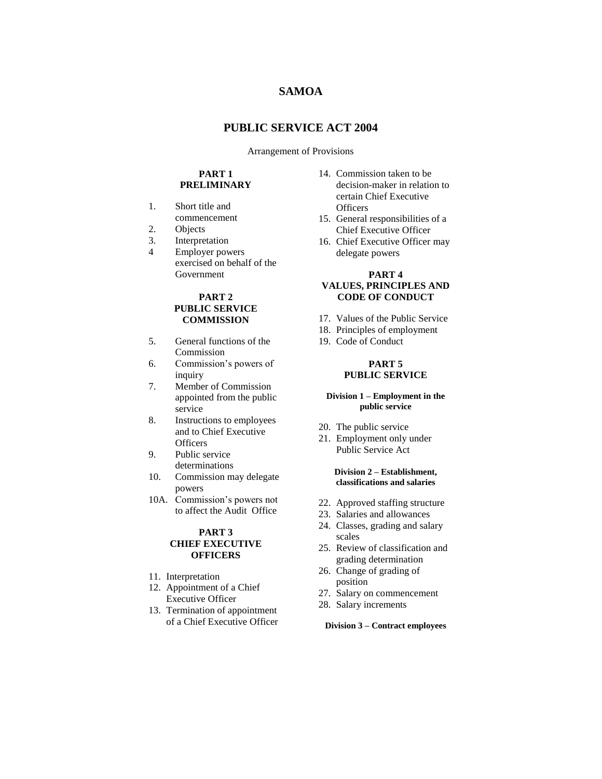# **SAMOA**

## **PUBLIC SERVICE ACT 2004**

#### Arrangement of Provisions

## **PART 1 PRELIMINARY**

- 1. Short title and commencement
- 2. Objects
- 3. Interpretation
- 4 Employer powers exercised on behalf of the Government

## **PART 2 PUBLIC SERVICE COMMISSION**

- 5. General functions of the Commission
- 6. Commission's powers of inquiry
- 7. Member of Commission appointed from the public service
- 8. Instructions to employees and to Chief Executive **Officers**
- 9. Public service determinations
- 10. Commission may delegate powers
- 10A. Commission's powers not to affect the Audit Office

#### **PART 3 CHIEF EXECUTIVE OFFICERS**

- 11. Interpretation
- 12. Appointment of a Chief Executive Officer
- 13. Termination of appointment of a Chief Executive Officer
- 14. Commission taken to be decision-maker in relation to certain Chief Executive **Officers**
- 15. General responsibilities of a Chief Executive Officer
- 16. Chief Executive Officer may delegate powers

## **PART 4 VALUES, PRINCIPLES AND CODE OF CONDUCT**

- 17. Values of the Public Service
- 18. Principles of employment
- 19. Code of Conduct

## **PART 5 PUBLIC SERVICE**

#### **Division 1 – Employment in the public service**

- 20. The public service
- 21. Employment only under Public Service Act

#### **Division 2 – Establishment, classifications and salaries**

- 22. Approved staffing structure
- 23. Salaries and allowances
- 24. Classes, grading and salary scales
- 25. Review of classification and grading determination
- 26. Change of grading of position
- 27. Salary on commencement
- 28. Salary increments

#### **Division 3 – Contract employees**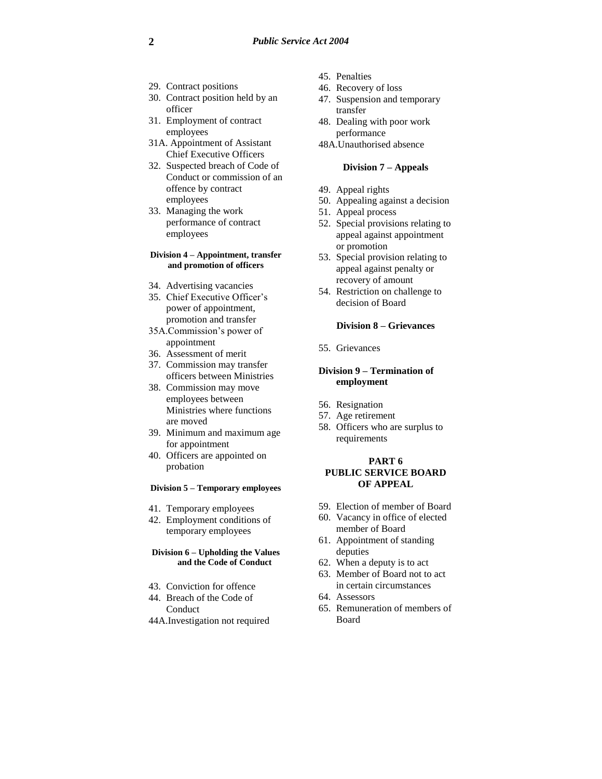- 29. Contract positions
- 30. Contract position held by an officer
- 31. Employment of contract employees
- 31A. Appointment of Assistant Chief Executive Officers
- 32. Suspected breach of Code of Conduct or commission of an offence by contract employees
- 33. Managing the work performance of contract employees

#### **Division 4 – Appointment, transfer and promotion of officers**

- 34. Advertising vacancies
- 35. Chief Executive Officer's power of appointment, promotion and transfer
- 35A.Commission's power of appointment
- 36. Assessment of merit
- 37. Commission may transfer officers between Ministries
- 38. Commission may move employees between Ministries where functions are moved
- 39. Minimum and maximum age for appointment
- 40. Officers are appointed on probation

#### **Division 5 – Temporary employees**

- 41. Temporary employees
- 42. Employment conditions of temporary employees

#### **Division 6 – Upholding the Values and the Code of Conduct**

- 43. Conviction for offence
- 44. Breach of the Code of Conduct
- 44A.Investigation not required
- 45. Penalties
- 46. Recovery of loss
- 47. Suspension and temporary transfer
- 48. Dealing with poor work performance
- 48A.Unauthorised absence

## **Division 7 – Appeals**

- 49. Appeal rights
- 50. Appealing against a decision
- 51. Appeal process
- 52. Special provisions relating to appeal against appointment or promotion
- 53. Special provision relating to appeal against penalty or recovery of amount
- 54. Restriction on challenge to decision of Board

#### **Division 8 – Grievances**

55. Grievances

## **Division 9 – Termination of employment**

- 56. Resignation
- 57. Age retirement
- 58. Officers who are surplus to requirements

#### **PART 6 PUBLIC SERVICE BOARD OF APPEAL**

- 59. Election of member of Board
- 60. Vacancy in office of elected member of Board
- 61. Appointment of standing deputies
- 62. When a deputy is to act
- 63. Member of Board not to act in certain circumstances
- 64. Assessors
- 65. Remuneration of members of Board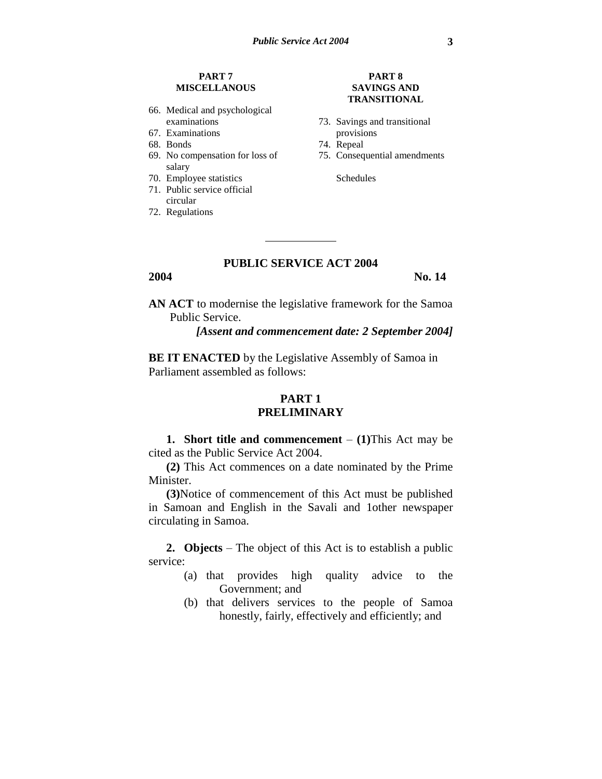# **PART 7 MISCELLANOUS**

- 66. Medical and psychological examinations
- 67. Examinations
- 68. Bonds
- 69. No compensation for loss of salary
- 70. Employee statistics
- 71. Public service official circular
- 72. Regulations

## **PART 8 SAVINGS AND TRANSITIONAL**

- 73. Savings and transitional provisions
- 74. Repeal
- 75. Consequential amendments

Schedules

## **PUBLIC SERVICE ACT 2004**

**2004** No. 14

**AN ACT** to modernise the legislative framework for the Samoa Public Service.

*[Assent and commencement date: 2 September 2004]*

**BE IT ENACTED** by the Legislative Assembly of Samoa in Parliament assembled as follows:

# **PART 1 PRELIMINARY**

**1. Short title and commencement**  $-$  (1)This Act may be cited as the Public Service Act 2004.

**(2)** This Act commences on a date nominated by the Prime Minister.

**(3)**Notice of commencement of this Act must be published in Samoan and English in the Savali and 1other newspaper circulating in Samoa.

**2. Objects** – The object of this Act is to establish a public service:

- (a) that provides high quality advice to the Government; and
- (b) that delivers services to the people of Samoa honestly, fairly, effectively and efficiently; and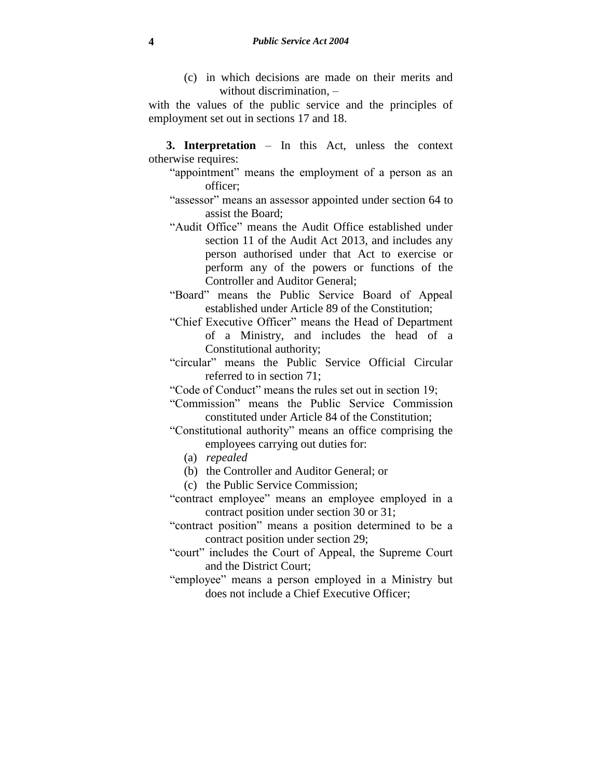(c) in which decisions are made on their merits and without discrimination, –

with the values of the public service and the principles of employment set out in sections 17 and 18.

- **3. Interpretation** In this Act, unless the context otherwise requires:
	- "appointment" means the employment of a person as an officer;
	- "assessor" means an assessor appointed under section 64 to assist the Board;
	- "Audit Office" means the Audit Office established under section 11 of the Audit Act 2013, and includes any person authorised under that Act to exercise or perform any of the powers or functions of the Controller and Auditor General;
	- "Board" means the Public Service Board of Appeal established under Article 89 of the Constitution;
	- "Chief Executive Officer" means the Head of Department of a Ministry, and includes the head of a Constitutional authority;
	- "circular" means the Public Service Official Circular referred to in section 71;

"Code of Conduct" means the rules set out in section 19;

- "Commission" means the Public Service Commission constituted under Article 84 of the Constitution;
- "Constitutional authority" means an office comprising the employees carrying out duties for:
	- (a) *repealed*
	- (b) the Controller and Auditor General; or
	- (c) the Public Service Commission;
- "contract employee" means an employee employed in a contract position under section 30 or 31;
- "contract position" means a position determined to be a contract position under section 29;
- "court" includes the Court of Appeal, the Supreme Court and the District Court;
- "employee" means a person employed in a Ministry but does not include a Chief Executive Officer;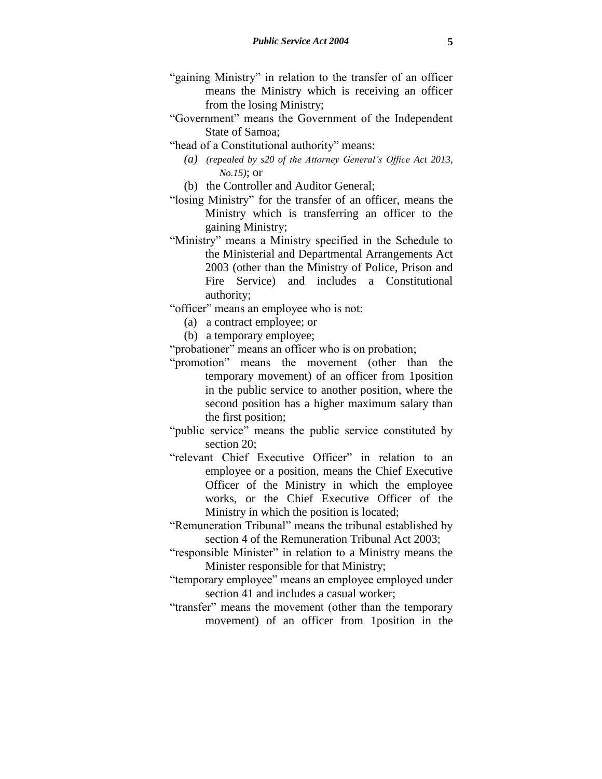- "gaining Ministry" in relation to the transfer of an officer means the Ministry which is receiving an officer from the losing Ministry;
- "Government" means the Government of the Independent State of Samoa;
- "head of a Constitutional authority" means:
	- *(a) (repealed by s20 of the Attorney General's Office Act 2013, No.15)*; or
	- (b) the Controller and Auditor General;
- "losing Ministry" for the transfer of an officer, means the Ministry which is transferring an officer to the gaining Ministry;
- "Ministry" means a Ministry specified in the Schedule to the Ministerial and Departmental Arrangements Act 2003 (other than the Ministry of Police, Prison and Fire Service) and includes a Constitutional authority;

"officer" means an employee who is not:

- (a) a contract employee; or
- (b) a temporary employee;
- "probationer" means an officer who is on probation;
- "promotion" means the movement (other than the temporary movement) of an officer from 1position in the public service to another position, where the second position has a higher maximum salary than the first position;
- "public service" means the public service constituted by section 20;
- "relevant Chief Executive Officer" in relation to an employee or a position, means the Chief Executive Officer of the Ministry in which the employee works, or the Chief Executive Officer of the Ministry in which the position is located;
- "Remuneration Tribunal" means the tribunal established by section 4 of the Remuneration Tribunal Act 2003;
- "responsible Minister" in relation to a Ministry means the Minister responsible for that Ministry;
- "temporary employee" means an employee employed under section 41 and includes a casual worker;
- "transfer" means the movement (other than the temporary movement) of an officer from 1position in the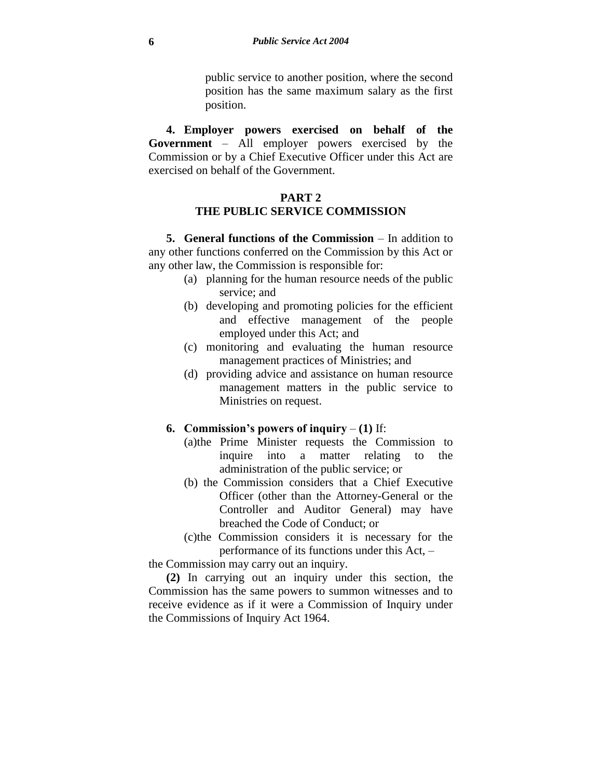public service to another position, where the second position has the same maximum salary as the first position.

**4. Employer powers exercised on behalf of the Government** – All employer powers exercised by the Commission or by a Chief Executive Officer under this Act are exercised on behalf of the Government.

# **PART 2 THE PUBLIC SERVICE COMMISSION**

**5. General functions of the Commission** – In addition to any other functions conferred on the Commission by this Act or any other law, the Commission is responsible for:

- (a) planning for the human resource needs of the public service; and
- (b) developing and promoting policies for the efficient and effective management of the people employed under this Act; and
- (c) monitoring and evaluating the human resource management practices of Ministries; and
- (d) providing advice and assistance on human resource management matters in the public service to Ministries on request.

# **6. Commission's powers of inquiry** – **(1)** If:

- (a)the Prime Minister requests the Commission to inquire into a matter relating to the administration of the public service; or
- (b) the Commission considers that a Chief Executive Officer (other than the Attorney-General or the Controller and Auditor General) may have breached the Code of Conduct; or
- (c)the Commission considers it is necessary for the performance of its functions under this Act, –

the Commission may carry out an inquiry.

**(2)** In carrying out an inquiry under this section, the Commission has the same powers to summon witnesses and to receive evidence as if it were a Commission of Inquiry under the Commissions of Inquiry Act 1964.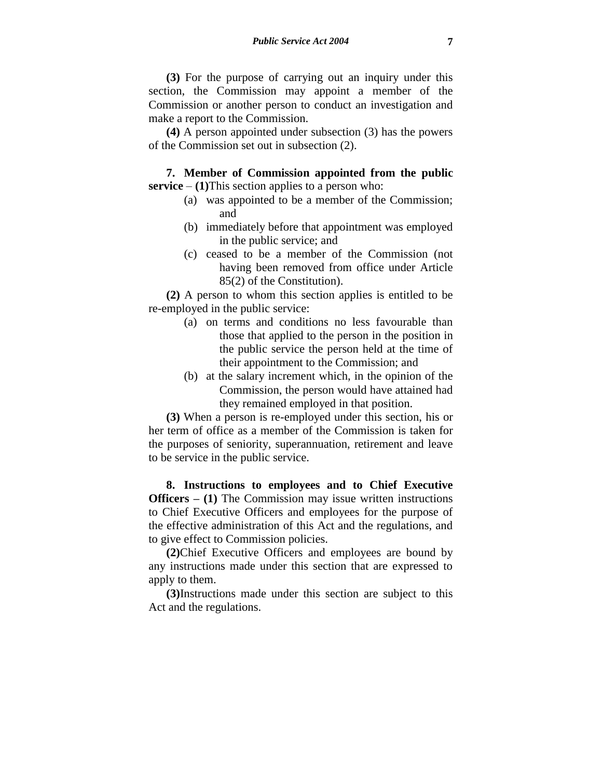**(3)** For the purpose of carrying out an inquiry under this section, the Commission may appoint a member of the Commission or another person to conduct an investigation and make a report to the Commission.

**(4)** A person appointed under subsection (3) has the powers of the Commission set out in subsection (2).

**7. Member of Commission appointed from the public service** –  $(1)$ This section applies to a person who:

- (a) was appointed to be a member of the Commission; and
- (b) immediately before that appointment was employed in the public service; and
- (c) ceased to be a member of the Commission (not having been removed from office under Article 85(2) of the Constitution).

**(2)** A person to whom this section applies is entitled to be re-employed in the public service:

- (a) on terms and conditions no less favourable than those that applied to the person in the position in the public service the person held at the time of their appointment to the Commission; and
- (b) at the salary increment which, in the opinion of the Commission, the person would have attained had they remained employed in that position.

**(3)** When a person is re-employed under this section, his or her term of office as a member of the Commission is taken for the purposes of seniority, superannuation, retirement and leave to be service in the public service.

**8. Instructions to employees and to Chief Executive Officers – (1)** The Commission may issue written instructions to Chief Executive Officers and employees for the purpose of the effective administration of this Act and the regulations, and to give effect to Commission policies.

**(2)**Chief Executive Officers and employees are bound by any instructions made under this section that are expressed to apply to them.

**(3)**Instructions made under this section are subject to this Act and the regulations.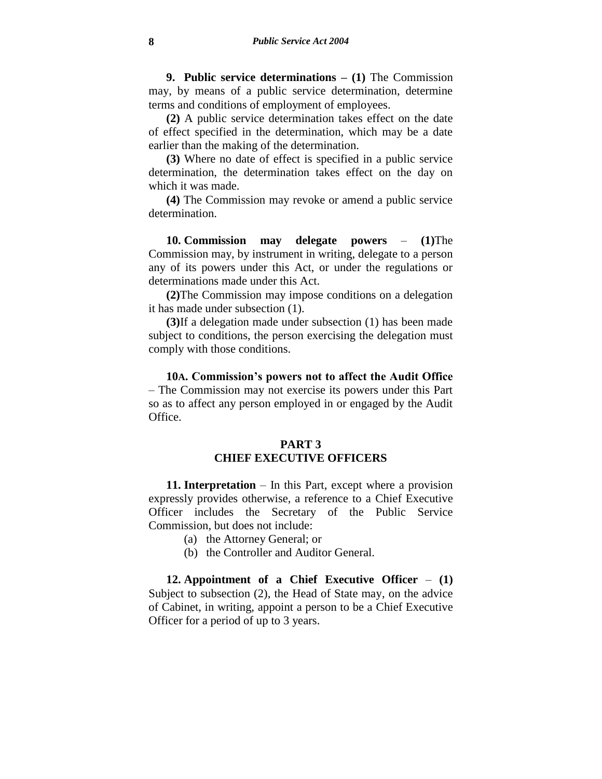**9. Public service determinations – (1)** The Commission may, by means of a public service determination, determine terms and conditions of employment of employees.

**(2)** A public service determination takes effect on the date of effect specified in the determination, which may be a date earlier than the making of the determination.

**(3)** Where no date of effect is specified in a public service determination, the determination takes effect on the day on which it was made.

**(4)** The Commission may revoke or amend a public service determination.

**10. Commission may delegate powers** – **(1)**The Commission may, by instrument in writing, delegate to a person any of its powers under this Act, or under the regulations or determinations made under this Act.

**(2)**The Commission may impose conditions on a delegation it has made under subsection (1).

**(3)**If a delegation made under subsection (1) has been made subject to conditions, the person exercising the delegation must comply with those conditions.

**10A. Commission's powers not to affect the Audit Office**  – The Commission may not exercise its powers under this Part so as to affect any person employed in or engaged by the Audit Office.

# **PART 3 CHIEF EXECUTIVE OFFICERS**

**11. Interpretation** – In this Part, except where a provision expressly provides otherwise, a reference to a Chief Executive Officer includes the Secretary of the Public Service Commission, but does not include:

- (a) the Attorney General; or
- (b) the Controller and Auditor General.

**12. Appointment of a Chief Executive Officer** – **(1)** Subject to subsection (2), the Head of State may, on the advice of Cabinet, in writing, appoint a person to be a Chief Executive Officer for a period of up to 3 years.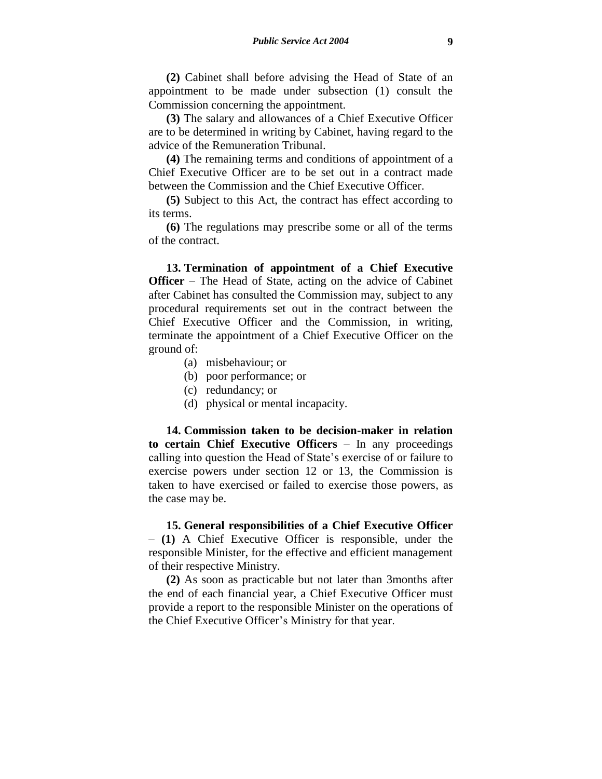**(2)** Cabinet shall before advising the Head of State of an appointment to be made under subsection (1) consult the Commission concerning the appointment.

**(3)** The salary and allowances of a Chief Executive Officer are to be determined in writing by Cabinet, having regard to the advice of the Remuneration Tribunal.

**(4)** The remaining terms and conditions of appointment of a Chief Executive Officer are to be set out in a contract made between the Commission and the Chief Executive Officer.

**(5)** Subject to this Act, the contract has effect according to its terms.

**(6)** The regulations may prescribe some or all of the terms of the contract.

**13. Termination of appointment of a Chief Executive Officer** – The Head of State, acting on the advice of Cabinet after Cabinet has consulted the Commission may, subject to any procedural requirements set out in the contract between the Chief Executive Officer and the Commission, in writing, terminate the appointment of a Chief Executive Officer on the ground of:

- (a) misbehaviour; or
- (b) poor performance; or
- (c) redundancy; or
- (d) physical or mental incapacity.

**14. Commission taken to be decision-maker in relation to certain Chief Executive Officers** – In any proceedings calling into question the Head of State's exercise of or failure to exercise powers under section 12 or 13, the Commission is taken to have exercised or failed to exercise those powers, as the case may be.

**15. General responsibilities of a Chief Executive Officer** – **(1)** A Chief Executive Officer is responsible, under the responsible Minister, for the effective and efficient management of their respective Ministry.

**(2)** As soon as practicable but not later than 3months after the end of each financial year, a Chief Executive Officer must provide a report to the responsible Minister on the operations of the Chief Executive Officer's Ministry for that year.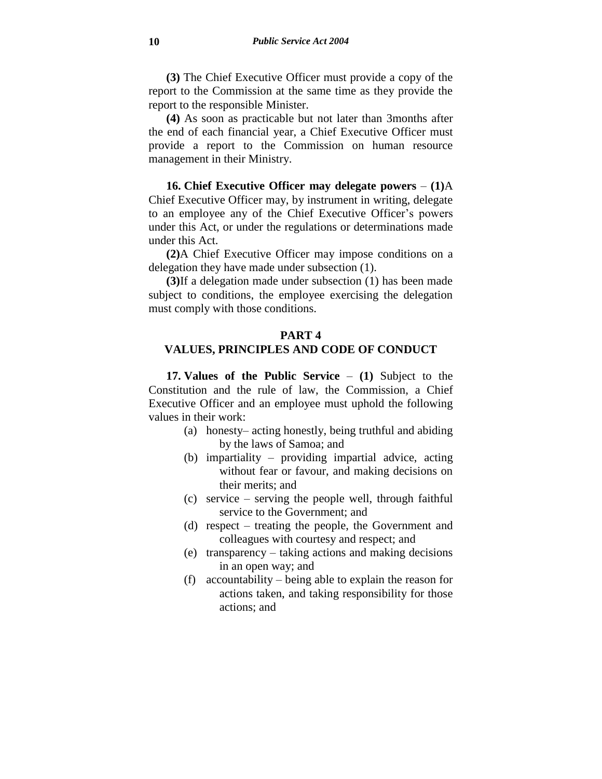**(3)** The Chief Executive Officer must provide a copy of the report to the Commission at the same time as they provide the report to the responsible Minister.

**(4)** As soon as practicable but not later than 3months after the end of each financial year, a Chief Executive Officer must provide a report to the Commission on human resource management in their Ministry.

**16. Chief Executive Officer may delegate powers** – **(1)**A Chief Executive Officer may, by instrument in writing, delegate to an employee any of the Chief Executive Officer's powers under this Act, or under the regulations or determinations made under this Act.

**(2)**A Chief Executive Officer may impose conditions on a delegation they have made under subsection (1).

**(3)**If a delegation made under subsection (1) has been made subject to conditions, the employee exercising the delegation must comply with those conditions.

## **PART 4**

## **VALUES, PRINCIPLES AND CODE OF CONDUCT**

**17. Values of the Public Service** – **(1)** Subject to the Constitution and the rule of law, the Commission, a Chief Executive Officer and an employee must uphold the following values in their work:

- (a) honesty– acting honestly, being truthful and abiding by the laws of Samoa; and
- (b) impartiality providing impartial advice, acting without fear or favour, and making decisions on their merits; and
- (c) service serving the people well, through faithful service to the Government; and
- (d) respect treating the people, the Government and colleagues with courtesy and respect; and
- (e) transparency taking actions and making decisions in an open way; and
- (f) accountability being able to explain the reason for actions taken, and taking responsibility for those actions; and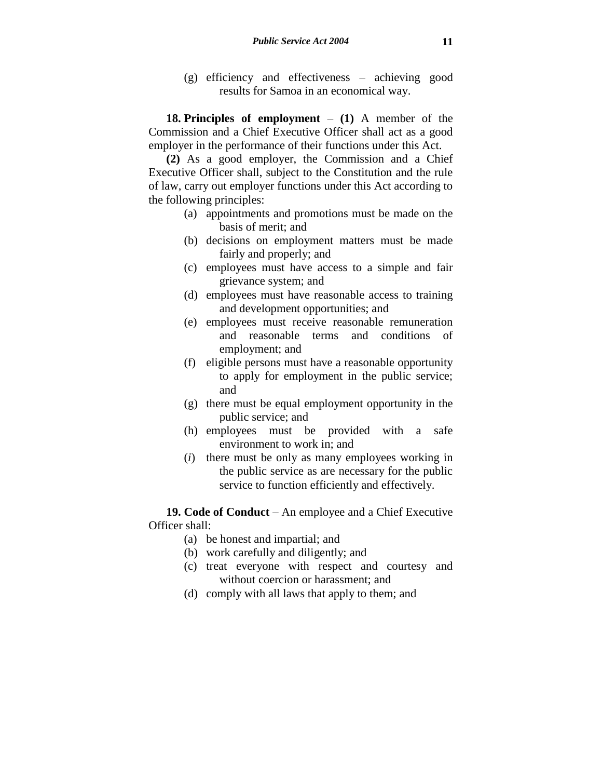(g) efficiency and effectiveness – achieving good results for Samoa in an economical way.

**18. Principles of employment** – **(1)** A member of the Commission and a Chief Executive Officer shall act as a good employer in the performance of their functions under this Act.

**(2)** As a good employer, the Commission and a Chief Executive Officer shall, subject to the Constitution and the rule of law, carry out employer functions under this Act according to the following principles:

- (a) appointments and promotions must be made on the basis of merit; and
- (b) decisions on employment matters must be made fairly and properly; and
- (c) employees must have access to a simple and fair grievance system; and
- (d) employees must have reasonable access to training and development opportunities; and
- (e) employees must receive reasonable remuneration and reasonable terms and conditions of employment; and
- (f) eligible persons must have a reasonable opportunity to apply for employment in the public service; and
- (g) there must be equal employment opportunity in the public service; and
- (h) employees must be provided with a safe environment to work in; and
- (*i*) there must be only as many employees working in the public service as are necessary for the public service to function efficiently and effectively.

**19. Code of Conduct** – An employee and a Chief Executive Officer shall:

- (a) be honest and impartial; and
- (b) work carefully and diligently; and
- (c) treat everyone with respect and courtesy and without coercion or harassment; and
- (d) comply with all laws that apply to them; and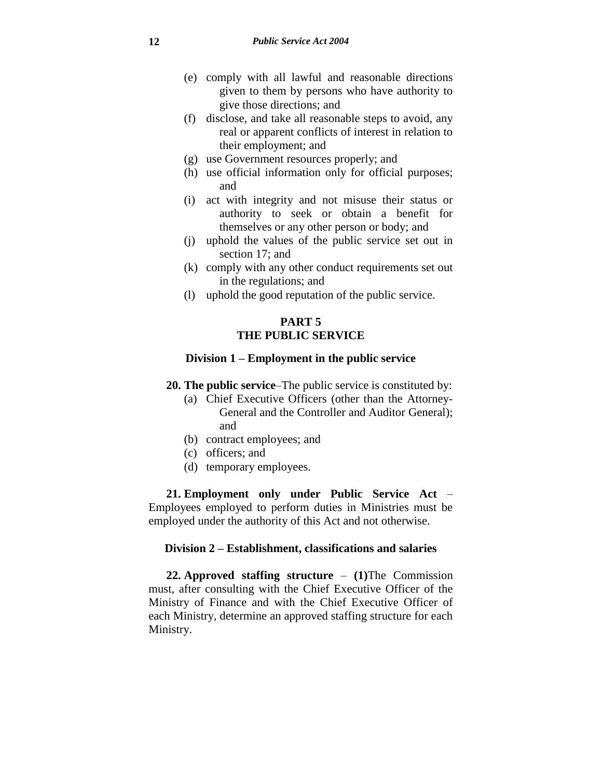- (e) comply with all lawful and reasonable directions given to them by persons who have authority to give those directions; and
- (f) disclose, and take all reasonable steps to avoid, any real or apparent conflicts of interest in relation to their employment; and
- (g) use Government resources properly; and
- (h) use official information only for official purposes; and
- (i) act with integrity and not misuse their status or authority to seek or obtain a benefit for themselves or any other person or body; and
- (j) uphold the values of the public service set out in section 17; and
- (k) comply with any other conduct requirements set out in the regulations; and
- (l) uphold the good reputation of the public service.

# **PART 5 THE PUBLIC SERVICE**

## **Division 1 – Employment in the public service**

- **20. The public service**–The public service is constituted by:
	- (a) Chief Executive Officers (other than the Attorney-General and the Controller and Auditor General); and
	- (b) contract employees; and
	- (c) officers; and
	- (d) temporary employees.

**21. Employment only under Public Service Act** – Employees employed to perform duties in Ministries must be employed under the authority of this Act and not otherwise.

## **Division 2 – Establishment, classifications and salaries**

**22. Approved staffing structure** – **(1)**The Commission must, after consulting with the Chief Executive Officer of the Ministry of Finance and with the Chief Executive Officer of each Ministry, determine an approved staffing structure for each Ministry.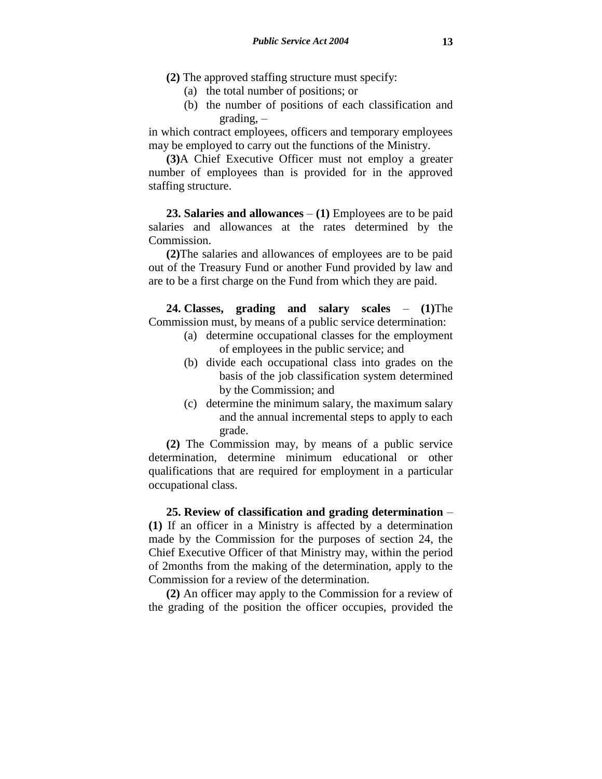- **(2)** The approved staffing structure must specify:
	- (a) the total number of positions; or
	- (b) the number of positions of each classification and grading, –

in which contract employees, officers and temporary employees may be employed to carry out the functions of the Ministry.

**(3)**A Chief Executive Officer must not employ a greater number of employees than is provided for in the approved staffing structure.

**23. Salaries and allowances** – **(1)** Employees are to be paid salaries and allowances at the rates determined by the Commission.

**(2)**The salaries and allowances of employees are to be paid out of the Treasury Fund or another Fund provided by law and are to be a first charge on the Fund from which they are paid.

**24. Classes, grading and salary scales** – **(1)**The Commission must, by means of a public service determination:

- (a) determine occupational classes for the employment of employees in the public service; and
- (b) divide each occupational class into grades on the basis of the job classification system determined by the Commission; and
- (c) determine the minimum salary, the maximum salary and the annual incremental steps to apply to each grade.

**(2)** The Commission may, by means of a public service determination, determine minimum educational or other qualifications that are required for employment in a particular occupational class.

**25. Review of classification and grading determination** – **(1)** If an officer in a Ministry is affected by a determination made by the Commission for the purposes of section 24, the Chief Executive Officer of that Ministry may, within the period of 2months from the making of the determination, apply to the Commission for a review of the determination.

**(2)** An officer may apply to the Commission for a review of the grading of the position the officer occupies, provided the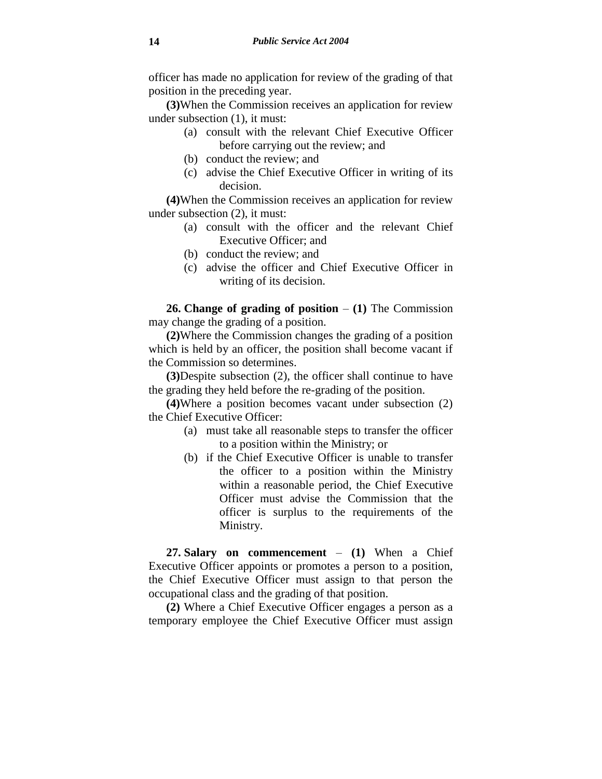officer has made no application for review of the grading of that position in the preceding year.

**(3)**When the Commission receives an application for review under subsection (1), it must:

- (a) consult with the relevant Chief Executive Officer before carrying out the review; and
- (b) conduct the review; and
- (c) advise the Chief Executive Officer in writing of its decision.

**(4)**When the Commission receives an application for review under subsection (2), it must:

- (a) consult with the officer and the relevant Chief Executive Officer; and
- (b) conduct the review; and
- (c) advise the officer and Chief Executive Officer in writing of its decision.

**26. Change of grading of position** – **(1)** The Commission may change the grading of a position.

**(2)**Where the Commission changes the grading of a position which is held by an officer, the position shall become vacant if the Commission so determines.

**(3)**Despite subsection (2), the officer shall continue to have the grading they held before the re-grading of the position.

**(4)**Where a position becomes vacant under subsection (2) the Chief Executive Officer:

- (a) must take all reasonable steps to transfer the officer to a position within the Ministry; or
- (b) if the Chief Executive Officer is unable to transfer the officer to a position within the Ministry within a reasonable period, the Chief Executive Officer must advise the Commission that the officer is surplus to the requirements of the Ministry.

**27. Salary on commencement** – **(1)** When a Chief Executive Officer appoints or promotes a person to a position, the Chief Executive Officer must assign to that person the occupational class and the grading of that position.

**(2)** Where a Chief Executive Officer engages a person as a temporary employee the Chief Executive Officer must assign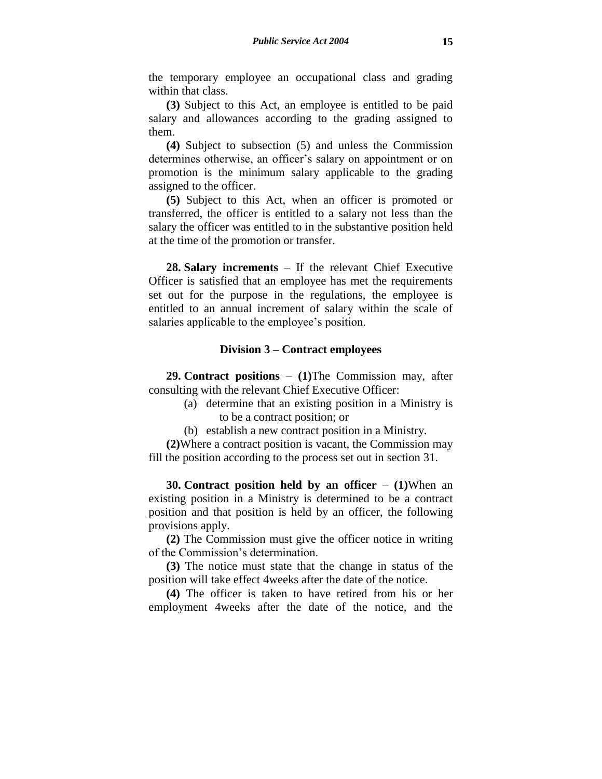the temporary employee an occupational class and grading within that class.

**(3)** Subject to this Act, an employee is entitled to be paid salary and allowances according to the grading assigned to them.

**(4)** Subject to subsection (5) and unless the Commission determines otherwise, an officer's salary on appointment or on promotion is the minimum salary applicable to the grading assigned to the officer.

**(5)** Subject to this Act, when an officer is promoted or transferred, the officer is entitled to a salary not less than the salary the officer was entitled to in the substantive position held at the time of the promotion or transfer.

**28. Salary increments** – If the relevant Chief Executive Officer is satisfied that an employee has met the requirements set out for the purpose in the regulations, the employee is entitled to an annual increment of salary within the scale of salaries applicable to the employee's position.

## **Division 3 – Contract employees**

**29. Contract positions** – **(1)**The Commission may, after consulting with the relevant Chief Executive Officer:

- (a) determine that an existing position in a Ministry is to be a contract position; or
- (b) establish a new contract position in a Ministry.

**(2)**Where a contract position is vacant, the Commission may fill the position according to the process set out in section 31.

**30. Contract position held by an officer** – **(1)**When an existing position in a Ministry is determined to be a contract position and that position is held by an officer, the following provisions apply.

**(2)** The Commission must give the officer notice in writing of the Commission's determination.

**(3)** The notice must state that the change in status of the position will take effect 4weeks after the date of the notice.

**(4)** The officer is taken to have retired from his or her employment 4weeks after the date of the notice, and the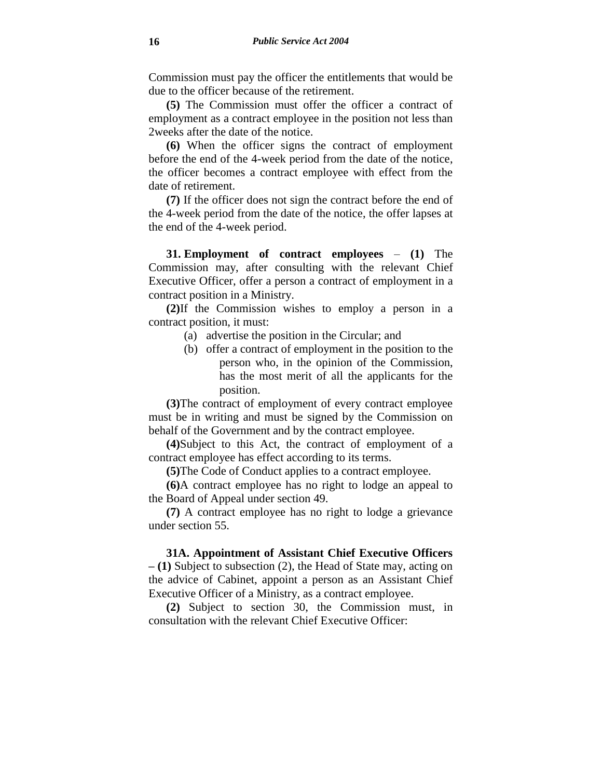Commission must pay the officer the entitlements that would be due to the officer because of the retirement.

**(5)** The Commission must offer the officer a contract of employment as a contract employee in the position not less than 2weeks after the date of the notice.

**(6)** When the officer signs the contract of employment before the end of the 4-week period from the date of the notice, the officer becomes a contract employee with effect from the date of retirement.

**(7)** If the officer does not sign the contract before the end of the 4-week period from the date of the notice, the offer lapses at the end of the 4-week period.

**31. Employment of contract employees** – **(1)** The Commission may, after consulting with the relevant Chief Executive Officer, offer a person a contract of employment in a contract position in a Ministry.

**(2)**If the Commission wishes to employ a person in a contract position, it must:

- (a) advertise the position in the Circular; and
- (b) offer a contract of employment in the position to the person who, in the opinion of the Commission, has the most merit of all the applicants for the position.

**(3)**The contract of employment of every contract employee must be in writing and must be signed by the Commission on behalf of the Government and by the contract employee.

**(4)**Subject to this Act, the contract of employment of a contract employee has effect according to its terms.

**(5)**The Code of Conduct applies to a contract employee.

**(6)**A contract employee has no right to lodge an appeal to the Board of Appeal under section 49.

**(7)** A contract employee has no right to lodge a grievance under section 55.

**31A. Appointment of Assistant Chief Executive Officers – (1)** Subject to subsection (2), the Head of State may, acting on the advice of Cabinet, appoint a person as an Assistant Chief Executive Officer of a Ministry, as a contract employee.

**(2)** Subject to section 30, the Commission must, in consultation with the relevant Chief Executive Officer: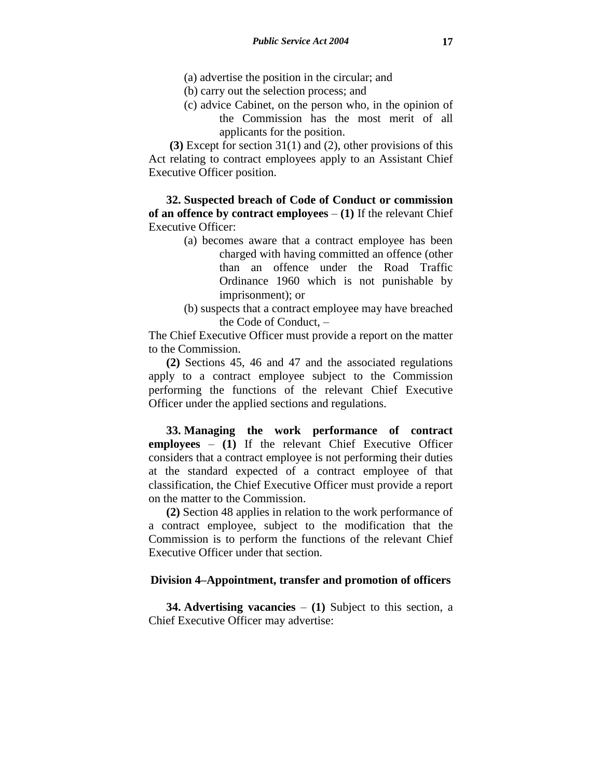- (a) advertise the position in the circular; and
- (b) carry out the selection process; and
- (c) advice Cabinet, on the person who, in the opinion of the Commission has the most merit of all applicants for the position.

**(3)** Except for section 31(1) and (2), other provisions of this Act relating to contract employees apply to an Assistant Chief Executive Officer position.

**32. Suspected breach of Code of Conduct or commission of an offence by contract employees** – **(1)** If the relevant Chief Executive Officer:

- (a) becomes aware that a contract employee has been charged with having committed an offence (other than an offence under the Road Traffic Ordinance 1960 which is not punishable by imprisonment); or
- (b) suspects that a contract employee may have breached the Code of Conduct, –

The Chief Executive Officer must provide a report on the matter to the Commission.

**(2)** Sections 45, 46 and 47 and the associated regulations apply to a contract employee subject to the Commission performing the functions of the relevant Chief Executive Officer under the applied sections and regulations.

**33. Managing the work performance of contract employees** – **(1)** If the relevant Chief Executive Officer considers that a contract employee is not performing their duties at the standard expected of a contract employee of that classification, the Chief Executive Officer must provide a report on the matter to the Commission.

**(2)** Section 48 applies in relation to the work performance of a contract employee, subject to the modification that the Commission is to perform the functions of the relevant Chief Executive Officer under that section.

# **Division 4–Appointment, transfer and promotion of officers**

**34. Advertising vacancies** – **(1)** Subject to this section, a Chief Executive Officer may advertise: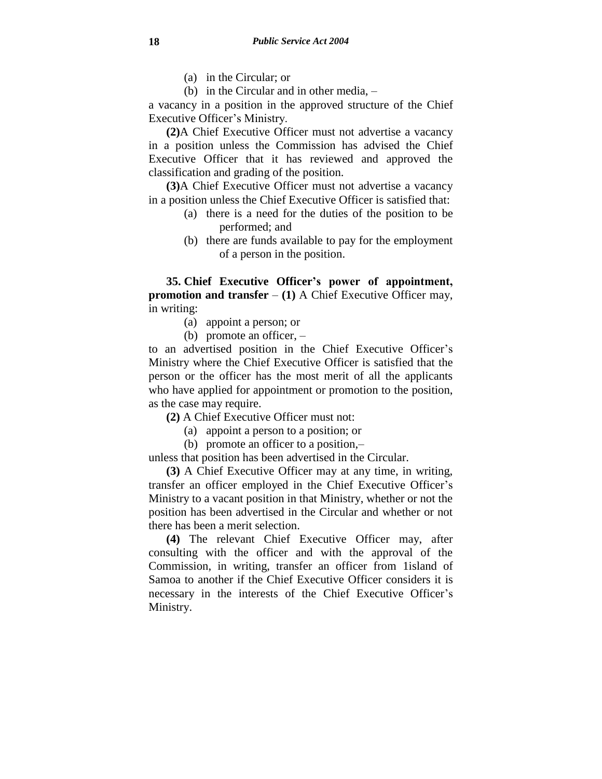- (a) in the Circular; or
- (b) in the Circular and in other media, –

a vacancy in a position in the approved structure of the Chief Executive Officer's Ministry.

**(2)**A Chief Executive Officer must not advertise a vacancy in a position unless the Commission has advised the Chief Executive Officer that it has reviewed and approved the classification and grading of the position.

**(3)**A Chief Executive Officer must not advertise a vacancy in a position unless the Chief Executive Officer is satisfied that:

- (a) there is a need for the duties of the position to be performed; and
- (b) there are funds available to pay for the employment of a person in the position.

**35. Chief Executive Officer's power of appointment, promotion and transfer** – **(1)** A Chief Executive Officer may, in writing:

- (a) appoint a person; or
- (b) promote an officer, –

to an advertised position in the Chief Executive Officer's Ministry where the Chief Executive Officer is satisfied that the person or the officer has the most merit of all the applicants who have applied for appointment or promotion to the position, as the case may require.

- **(2)** A Chief Executive Officer must not:
	- (a) appoint a person to a position; or
	- (b) promote an officer to a position,–

unless that position has been advertised in the Circular.

**(3)** A Chief Executive Officer may at any time, in writing, transfer an officer employed in the Chief Executive Officer's Ministry to a vacant position in that Ministry, whether or not the position has been advertised in the Circular and whether or not there has been a merit selection.

**(4)** The relevant Chief Executive Officer may, after consulting with the officer and with the approval of the Commission, in writing, transfer an officer from 1island of Samoa to another if the Chief Executive Officer considers it is necessary in the interests of the Chief Executive Officer's Ministry.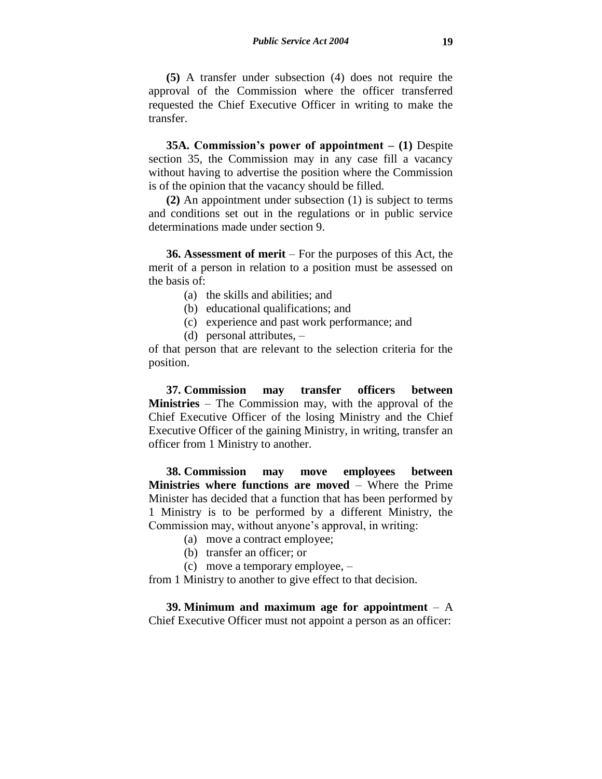**(5)** A transfer under subsection (4) does not require the approval of the Commission where the officer transferred requested the Chief Executive Officer in writing to make the transfer.

**35A. Commission's power of appointment – (1)** Despite section 35, the Commission may in any case fill a vacancy without having to advertise the position where the Commission is of the opinion that the vacancy should be filled.

**(2)** An appointment under subsection (1) is subject to terms and conditions set out in the regulations or in public service determinations made under section 9.

**36. Assessment of merit** – For the purposes of this Act, the merit of a person in relation to a position must be assessed on the basis of:

(a) the skills and abilities; and

(b) educational qualifications; and

- (c) experience and past work performance; and
- (d) personal attributes, –

of that person that are relevant to the selection criteria for the position.

**37. Commission may transfer officers between Ministries** – The Commission may, with the approval of the Chief Executive Officer of the losing Ministry and the Chief Executive Officer of the gaining Ministry, in writing, transfer an officer from 1 Ministry to another.

**38. Commission may move employees between Ministries where functions are moved** – Where the Prime Minister has decided that a function that has been performed by 1 Ministry is to be performed by a different Ministry, the Commission may, without anyone's approval, in writing:

(a) move a contract employee;

- (b) transfer an officer; or
- (c) move a temporary employee, –

from 1 Ministry to another to give effect to that decision.

**39. Minimum and maximum age for appointment** – A Chief Executive Officer must not appoint a person as an officer: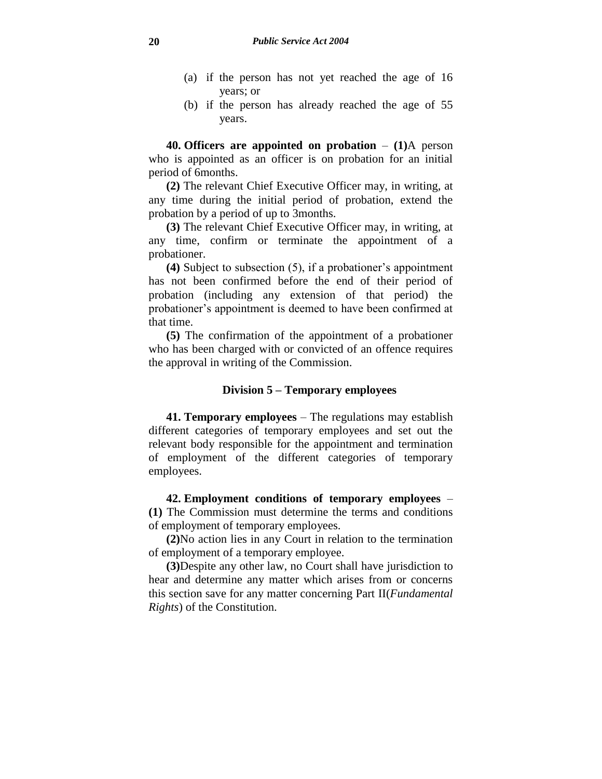- (a) if the person has not yet reached the age of 16 years; or
- (b) if the person has already reached the age of 55 years.

**40. Officers are appointed on probation** – **(1)**A person who is appointed as an officer is on probation for an initial period of 6months.

**(2)** The relevant Chief Executive Officer may, in writing, at any time during the initial period of probation, extend the probation by a period of up to 3months.

**(3)** The relevant Chief Executive Officer may, in writing, at any time, confirm or terminate the appointment of a probationer.

**(4)** Subject to subsection (5), if a probationer's appointment has not been confirmed before the end of their period of probation (including any extension of that period) the probationer's appointment is deemed to have been confirmed at that time.

**(5)** The confirmation of the appointment of a probationer who has been charged with or convicted of an offence requires the approval in writing of the Commission.

# **Division 5 – Temporary employees**

**41. Temporary employees** – The regulations may establish different categories of temporary employees and set out the relevant body responsible for the appointment and termination of employment of the different categories of temporary employees.

**42. Employment conditions of temporary employees** – **(1)** The Commission must determine the terms and conditions of employment of temporary employees.

**(2)**No action lies in any Court in relation to the termination of employment of a temporary employee.

**(3)**Despite any other law, no Court shall have jurisdiction to hear and determine any matter which arises from or concerns this section save for any matter concerning Part II(*Fundamental Rights*) of the Constitution.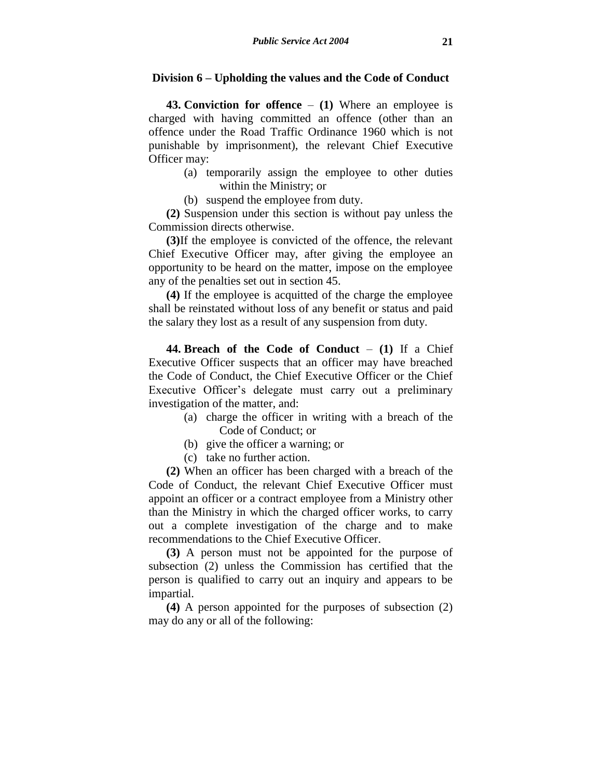## **Division 6 – Upholding the values and the Code of Conduct**

**43. Conviction for offence** – **(1)** Where an employee is charged with having committed an offence (other than an offence under the Road Traffic Ordinance 1960 which is not punishable by imprisonment), the relevant Chief Executive Officer may:

- (a) temporarily assign the employee to other duties within the Ministry; or
- (b) suspend the employee from duty.

**(2)** Suspension under this section is without pay unless the Commission directs otherwise.

**(3)**If the employee is convicted of the offence, the relevant Chief Executive Officer may, after giving the employee an opportunity to be heard on the matter, impose on the employee any of the penalties set out in section 45.

**(4)** If the employee is acquitted of the charge the employee shall be reinstated without loss of any benefit or status and paid the salary they lost as a result of any suspension from duty.

**44. Breach of the Code of Conduct** – **(1)** If a Chief Executive Officer suspects that an officer may have breached the Code of Conduct, the Chief Executive Officer or the Chief Executive Officer's delegate must carry out a preliminary investigation of the matter, and:

- (a) charge the officer in writing with a breach of the Code of Conduct; or
- (b) give the officer a warning; or
- (c) take no further action.

**(2)** When an officer has been charged with a breach of the Code of Conduct, the relevant Chief Executive Officer must appoint an officer or a contract employee from a Ministry other than the Ministry in which the charged officer works, to carry out a complete investigation of the charge and to make recommendations to the Chief Executive Officer.

**(3)** A person must not be appointed for the purpose of subsection (2) unless the Commission has certified that the person is qualified to carry out an inquiry and appears to be impartial.

**(4)** A person appointed for the purposes of subsection (2) may do any or all of the following: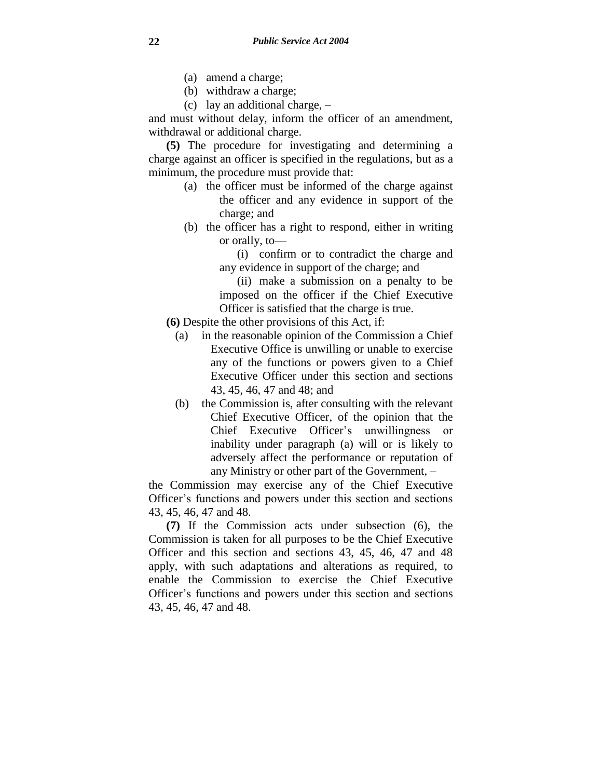- (a) amend a charge;
- (b) withdraw a charge;
- (c) lay an additional charge, –

and must without delay, inform the officer of an amendment, withdrawal or additional charge.

**(5)** The procedure for investigating and determining a charge against an officer is specified in the regulations, but as a minimum, the procedure must provide that:

- (a) the officer must be informed of the charge against the officer and any evidence in support of the charge; and
- (b) the officer has a right to respond, either in writing or orally, to—
	- (i) confirm or to contradict the charge and any evidence in support of the charge; and

(ii) make a submission on a penalty to be imposed on the officer if the Chief Executive Officer is satisfied that the charge is true.

- **(6)** Despite the other provisions of this Act, if:
	- (a) in the reasonable opinion of the Commission a Chief Executive Office is unwilling or unable to exercise any of the functions or powers given to a Chief Executive Officer under this section and sections 43, 45, 46, 47 and 48; and
	- (b) the Commission is, after consulting with the relevant Chief Executive Officer, of the opinion that the Chief Executive Officer's unwillingness or inability under paragraph (a) will or is likely to adversely affect the performance or reputation of any Ministry or other part of the Government, –

the Commission may exercise any of the Chief Executive Officer's functions and powers under this section and sections 43, 45, 46, 47 and 48.

**(7)** If the Commission acts under subsection (6), the Commission is taken for all purposes to be the Chief Executive Officer and this section and sections 43, 45, 46, 47 and 48 apply, with such adaptations and alterations as required, to enable the Commission to exercise the Chief Executive Officer's functions and powers under this section and sections 43, 45, 46, 47 and 48.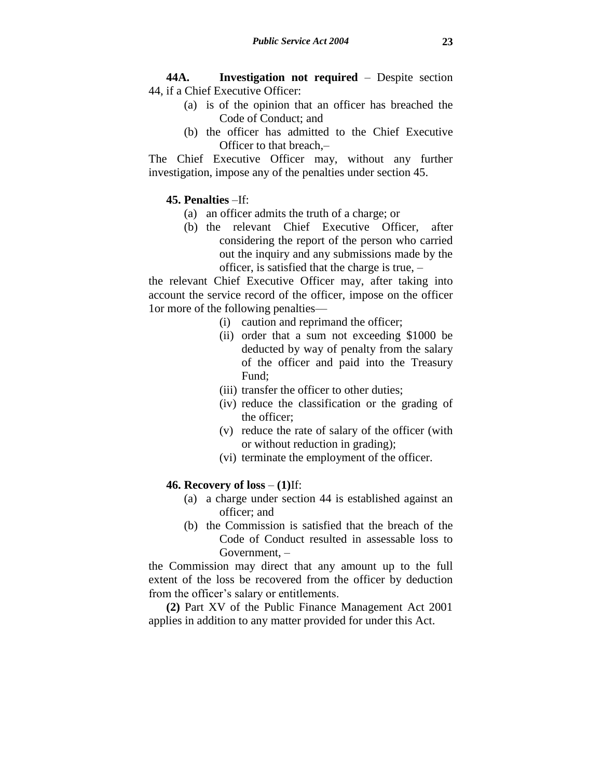**44A. Investigation not required** – Despite section 44, if a Chief Executive Officer:

- (a) is of the opinion that an officer has breached the Code of Conduct; and
- (b) the officer has admitted to the Chief Executive Officer to that breach,–

The Chief Executive Officer may, without any further investigation, impose any of the penalties under section 45.

# **45. Penalties** –If:

- (a) an officer admits the truth of a charge; or
- (b) the relevant Chief Executive Officer, after considering the report of the person who carried out the inquiry and any submissions made by the officer, is satisfied that the charge is true, –

the relevant Chief Executive Officer may, after taking into account the service record of the officer, impose on the officer 1or more of the following penalties—

- (i) caution and reprimand the officer;
- (ii) order that a sum not exceeding \$1000 be deducted by way of penalty from the salary of the officer and paid into the Treasury Fund;
- (iii) transfer the officer to other duties;
- (iv) reduce the classification or the grading of the officer;
- (v) reduce the rate of salary of the officer (with or without reduction in grading);
- (vi) terminate the employment of the officer.

# **46. Recovery of loss** – **(1)**If:

- (a) a charge under section 44 is established against an officer; and
- (b) the Commission is satisfied that the breach of the Code of Conduct resulted in assessable loss to Government, –

the Commission may direct that any amount up to the full extent of the loss be recovered from the officer by deduction from the officer's salary or entitlements.

**(2)** Part XV of the Public Finance Management Act 2001 applies in addition to any matter provided for under this Act.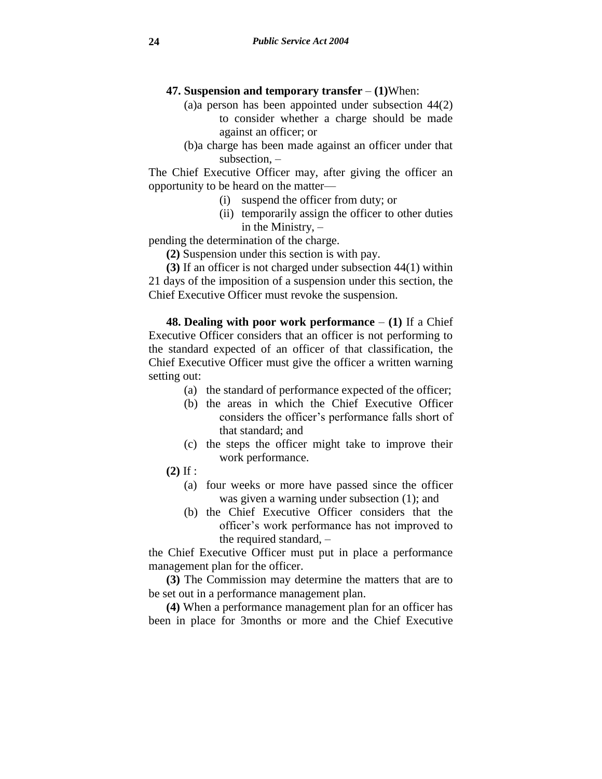- **47. Suspension and temporary transfer (1)**When:
	- (a)a person has been appointed under subsection 44(2) to consider whether a charge should be made against an officer; or
	- (b)a charge has been made against an officer under that subsection, –

The Chief Executive Officer may, after giving the officer an opportunity to be heard on the matter—

- (i) suspend the officer from duty; or
- (ii) temporarily assign the officer to other duties in the Ministry, –

pending the determination of the charge.

**(2)** Suspension under this section is with pay.

**(3)** If an officer is not charged under subsection 44(1) within 21 days of the imposition of a suspension under this section, the Chief Executive Officer must revoke the suspension.

**48. Dealing with poor work performance** – **(1)** If a Chief Executive Officer considers that an officer is not performing to the standard expected of an officer of that classification, the Chief Executive Officer must give the officer a written warning setting out:

- (a) the standard of performance expected of the officer;
- (b) the areas in which the Chief Executive Officer considers the officer's performance falls short of that standard; and
- (c) the steps the officer might take to improve their work performance.
- **(2)** If :
	- (a) four weeks or more have passed since the officer was given a warning under subsection (1); and
	- (b) the Chief Executive Officer considers that the officer's work performance has not improved to the required standard, –

the Chief Executive Officer must put in place a performance management plan for the officer.

**(3)** The Commission may determine the matters that are to be set out in a performance management plan.

**(4)** When a performance management plan for an officer has been in place for 3months or more and the Chief Executive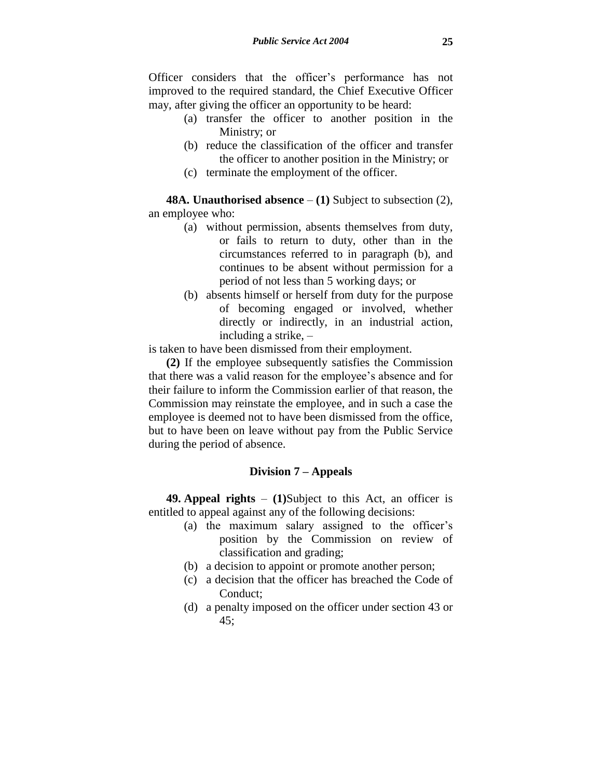Officer considers that the officer's performance has not improved to the required standard, the Chief Executive Officer may, after giving the officer an opportunity to be heard:

- (a) transfer the officer to another position in the Ministry; or
- (b) reduce the classification of the officer and transfer the officer to another position in the Ministry; or
- (c) terminate the employment of the officer.

**48A. Unauthorised absence** – **(1)** Subject to subsection (2), an employee who:

- (a) without permission, absents themselves from duty, or fails to return to duty, other than in the circumstances referred to in paragraph (b), and continues to be absent without permission for a period of not less than 5 working days; or
- (b) absents himself or herself from duty for the purpose of becoming engaged or involved, whether directly or indirectly, in an industrial action, including a strike, –

is taken to have been dismissed from their employment.

**(2)** If the employee subsequently satisfies the Commission that there was a valid reason for the employee's absence and for their failure to inform the Commission earlier of that reason, the Commission may reinstate the employee, and in such a case the employee is deemed not to have been dismissed from the office, but to have been on leave without pay from the Public Service during the period of absence.

# **Division 7 – Appeals**

**49. Appeal rights** – **(1)**Subject to this Act, an officer is entitled to appeal against any of the following decisions:

- (a) the maximum salary assigned to the officer's position by the Commission on review of classification and grading;
- (b) a decision to appoint or promote another person;
- (c) a decision that the officer has breached the Code of Conduct;
- (d) a penalty imposed on the officer under section 43 or 45;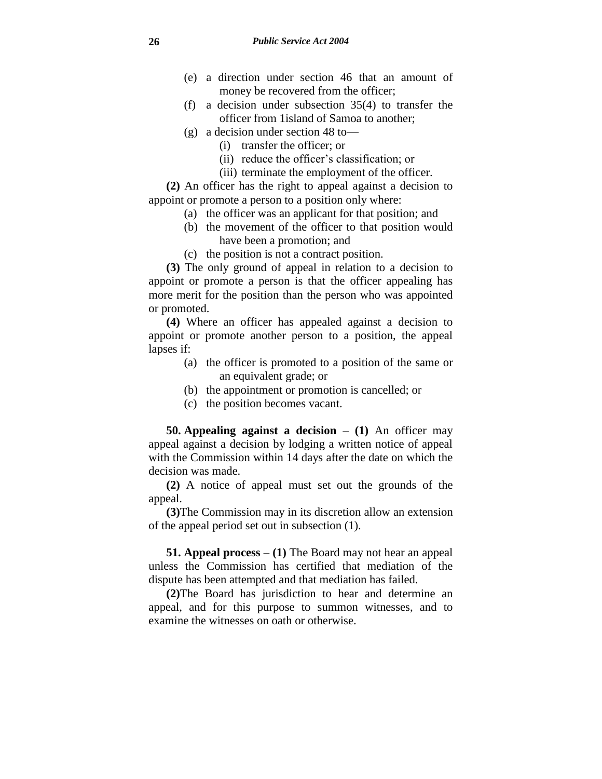- (e) a direction under section 46 that an amount of money be recovered from the officer;
- (f) a decision under subsection 35(4) to transfer the officer from 1island of Samoa to another;
- (g) a decision under section 48 to—
	- (i) transfer the officer; or
	- (ii) reduce the officer's classification; or
	- (iii) terminate the employment of the officer.

**(2)** An officer has the right to appeal against a decision to appoint or promote a person to a position only where:

- (a) the officer was an applicant for that position; and
- (b) the movement of the officer to that position would have been a promotion; and
- (c) the position is not a contract position.

**(3)** The only ground of appeal in relation to a decision to appoint or promote a person is that the officer appealing has more merit for the position than the person who was appointed or promoted.

**(4)** Where an officer has appealed against a decision to appoint or promote another person to a position, the appeal lapses if:

- (a) the officer is promoted to a position of the same or an equivalent grade; or
- (b) the appointment or promotion is cancelled; or
- (c) the position becomes vacant.

**50. Appealing against a decision** – **(1)** An officer may appeal against a decision by lodging a written notice of appeal with the Commission within 14 days after the date on which the decision was made.

**(2)** A notice of appeal must set out the grounds of the appeal.

**(3)**The Commission may in its discretion allow an extension of the appeal period set out in subsection (1).

**51. Appeal process** – **(1)** The Board may not hear an appeal unless the Commission has certified that mediation of the dispute has been attempted and that mediation has failed.

**(2)**The Board has jurisdiction to hear and determine an appeal, and for this purpose to summon witnesses, and to examine the witnesses on oath or otherwise.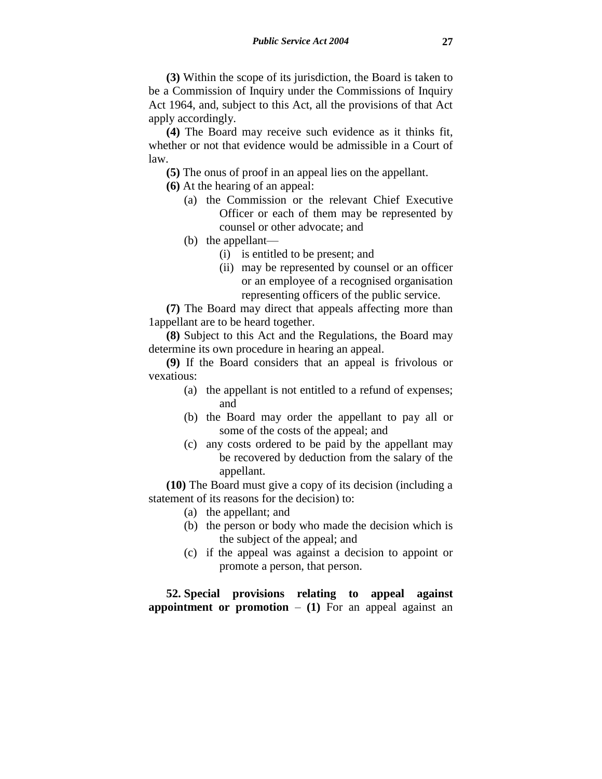**(3)** Within the scope of its jurisdiction, the Board is taken to be a Commission of Inquiry under the Commissions of Inquiry Act 1964, and, subject to this Act, all the provisions of that Act apply accordingly.

**(4)** The Board may receive such evidence as it thinks fit, whether or not that evidence would be admissible in a Court of law.

- **(5)** The onus of proof in an appeal lies on the appellant.
- **(6)** At the hearing of an appeal:
	- (a) the Commission or the relevant Chief Executive Officer or each of them may be represented by counsel or other advocate; and
	- (b) the appellant—
		- (i) is entitled to be present; and
		- (ii) may be represented by counsel or an officer or an employee of a recognised organisation representing officers of the public service.

**(7)** The Board may direct that appeals affecting more than 1appellant are to be heard together.

**(8)** Subject to this Act and the Regulations, the Board may determine its own procedure in hearing an appeal.

**(9)** If the Board considers that an appeal is frivolous or vexatious:

- (a) the appellant is not entitled to a refund of expenses; and
- (b) the Board may order the appellant to pay all or some of the costs of the appeal; and
- (c) any costs ordered to be paid by the appellant may be recovered by deduction from the salary of the appellant.

**(10)** The Board must give a copy of its decision (including a statement of its reasons for the decision) to:

- (a) the appellant; and
- (b) the person or body who made the decision which is the subject of the appeal; and
- (c) if the appeal was against a decision to appoint or promote a person, that person.

**52. Special provisions relating to appeal against appointment or promotion**  $-$  **(1)** For an appeal against an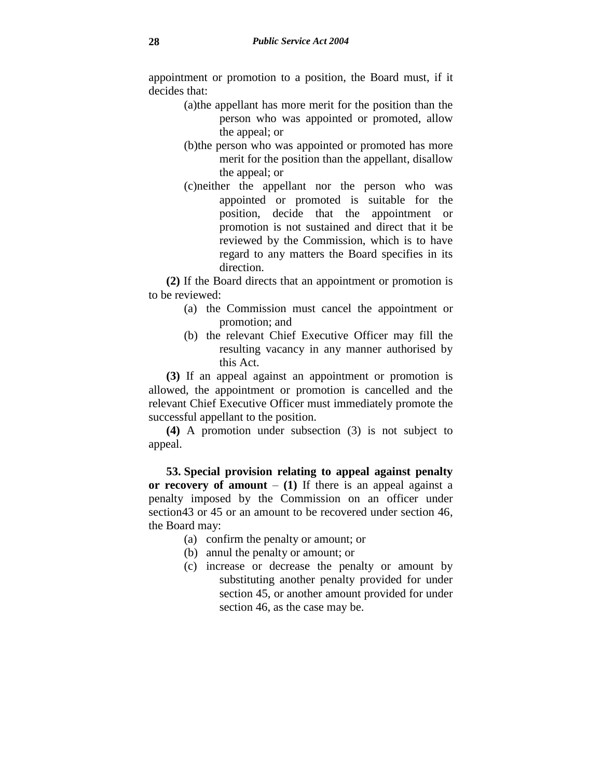appointment or promotion to a position, the Board must, if it decides that:

- (a)the appellant has more merit for the position than the person who was appointed or promoted, allow the appeal; or
- (b)the person who was appointed or promoted has more merit for the position than the appellant, disallow the appeal; or
- (c)neither the appellant nor the person who was appointed or promoted is suitable for the position, decide that the appointment or promotion is not sustained and direct that it be reviewed by the Commission, which is to have regard to any matters the Board specifies in its direction.

**(2)** If the Board directs that an appointment or promotion is to be reviewed:

- (a) the Commission must cancel the appointment or promotion; and
- (b) the relevant Chief Executive Officer may fill the resulting vacancy in any manner authorised by this Act.

**(3)** If an appeal against an appointment or promotion is allowed, the appointment or promotion is cancelled and the relevant Chief Executive Officer must immediately promote the successful appellant to the position.

**(4)** A promotion under subsection (3) is not subject to appeal.

**53. Special provision relating to appeal against penalty**  or recovery of amount  $- (1)$  If there is an appeal against a penalty imposed by the Commission on an officer under section43 or 45 or an amount to be recovered under section 46, the Board may:

- (a) confirm the penalty or amount; or
- (b) annul the penalty or amount; or
- (c) increase or decrease the penalty or amount by substituting another penalty provided for under section 45, or another amount provided for under section 46, as the case may be.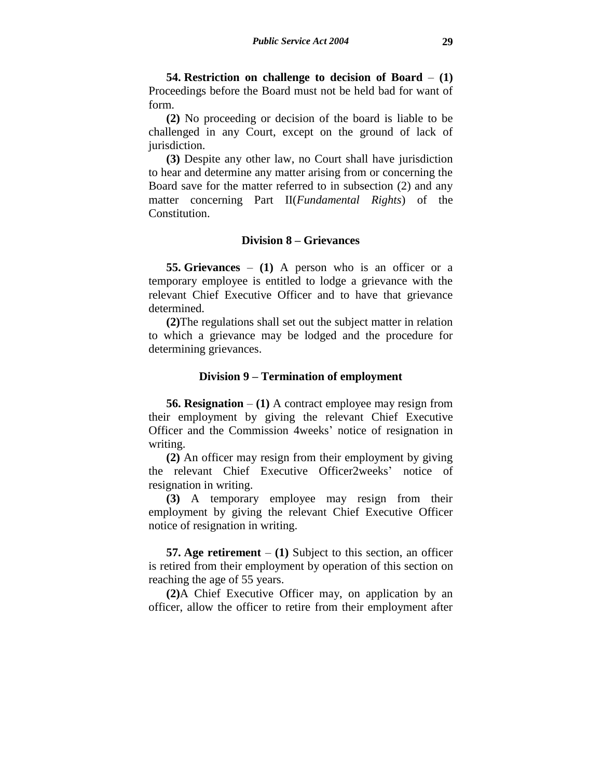**54. Restriction on challenge to decision of Board** – **(1)** Proceedings before the Board must not be held bad for want of form.

**(2)** No proceeding or decision of the board is liable to be challenged in any Court, except on the ground of lack of jurisdiction.

**(3)** Despite any other law, no Court shall have jurisdiction to hear and determine any matter arising from or concerning the Board save for the matter referred to in subsection (2) and any matter concerning Part II(*Fundamental Rights*) of the Constitution.

# **Division 8 – Grievances**

**55. Grievances** – **(1)** A person who is an officer or a temporary employee is entitled to lodge a grievance with the relevant Chief Executive Officer and to have that grievance determined.

**(2)**The regulations shall set out the subject matter in relation to which a grievance may be lodged and the procedure for determining grievances.

#### **Division 9 – Termination of employment**

**56. Resignation** – **(1)** A contract employee may resign from their employment by giving the relevant Chief Executive Officer and the Commission 4weeks' notice of resignation in writing.

**(2)** An officer may resign from their employment by giving the relevant Chief Executive Officer2weeks' notice of resignation in writing.

**(3)** A temporary employee may resign from their employment by giving the relevant Chief Executive Officer notice of resignation in writing.

**57. Age retirement** – **(1)** Subject to this section, an officer is retired from their employment by operation of this section on reaching the age of 55 years.

**(2)**A Chief Executive Officer may, on application by an officer, allow the officer to retire from their employment after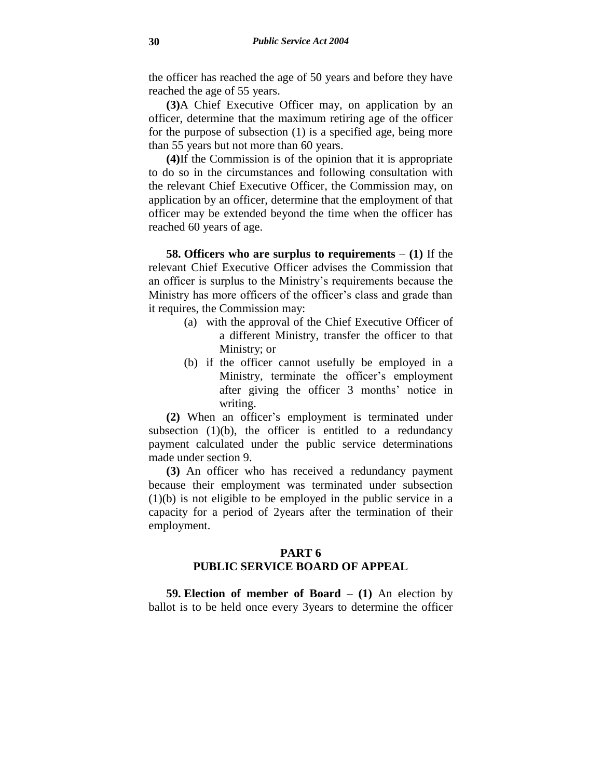the officer has reached the age of 50 years and before they have reached the age of 55 years.

**(3)**A Chief Executive Officer may, on application by an officer, determine that the maximum retiring age of the officer for the purpose of subsection (1) is a specified age, being more than 55 years but not more than 60 years.

**(4)**If the Commission is of the opinion that it is appropriate to do so in the circumstances and following consultation with the relevant Chief Executive Officer, the Commission may, on application by an officer, determine that the employment of that officer may be extended beyond the time when the officer has reached 60 years of age.

**58. Officers who are surplus to requirements** – **(1)** If the relevant Chief Executive Officer advises the Commission that an officer is surplus to the Ministry's requirements because the Ministry has more officers of the officer's class and grade than it requires, the Commission may:

- (a) with the approval of the Chief Executive Officer of a different Ministry, transfer the officer to that Ministry; or
- (b) if the officer cannot usefully be employed in a Ministry, terminate the officer's employment after giving the officer 3 months' notice in writing.

**(2)** When an officer's employment is terminated under subsection  $(1)(b)$ , the officer is entitled to a redundancy payment calculated under the public service determinations made under section 9.

**(3)** An officer who has received a redundancy payment because their employment was terminated under subsection (1)(b) is not eligible to be employed in the public service in a capacity for a period of 2years after the termination of their employment.

# **PART 6 PUBLIC SERVICE BOARD OF APPEAL**

**59. Election of member of Board** – **(1)** An election by ballot is to be held once every 3years to determine the officer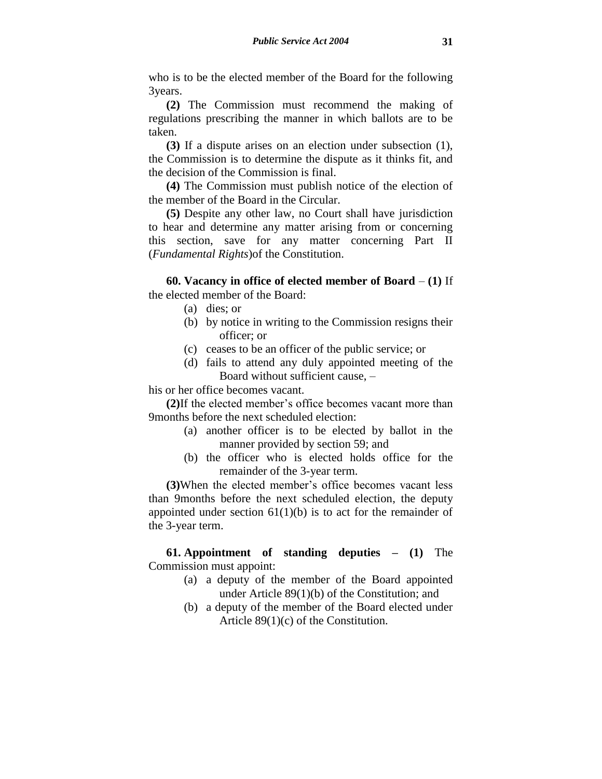who is to be the elected member of the Board for the following 3years.

**(2)** The Commission must recommend the making of regulations prescribing the manner in which ballots are to be taken.

**(3)** If a dispute arises on an election under subsection (1), the Commission is to determine the dispute as it thinks fit, and the decision of the Commission is final.

**(4)** The Commission must publish notice of the election of the member of the Board in the Circular.

**(5)** Despite any other law, no Court shall have jurisdiction to hear and determine any matter arising from or concerning this section, save for any matter concerning Part II (*Fundamental Rights*)of the Constitution.

**60. Vacancy in office of elected member of Board** – **(1)** If the elected member of the Board:

- (a) dies; or
- (b) by notice in writing to the Commission resigns their officer; or
- (c) ceases to be an officer of the public service; or
- (d) fails to attend any duly appointed meeting of the Board without sufficient cause, –

his or her office becomes vacant.

**(2)**If the elected member's office becomes vacant more than 9months before the next scheduled election:

- (a) another officer is to be elected by ballot in the manner provided by section 59; and
- (b) the officer who is elected holds office for the remainder of the 3-year term.

**(3)**When the elected member's office becomes vacant less than 9months before the next scheduled election, the deputy appointed under section  $61(1)(b)$  is to act for the remainder of the 3-year term.

**61. Appointment of standing deputies – (1)** The Commission must appoint:

- (a) a deputy of the member of the Board appointed under Article 89(1)(b) of the Constitution; and
- (b) a deputy of the member of the Board elected under Article 89(1)(c) of the Constitution.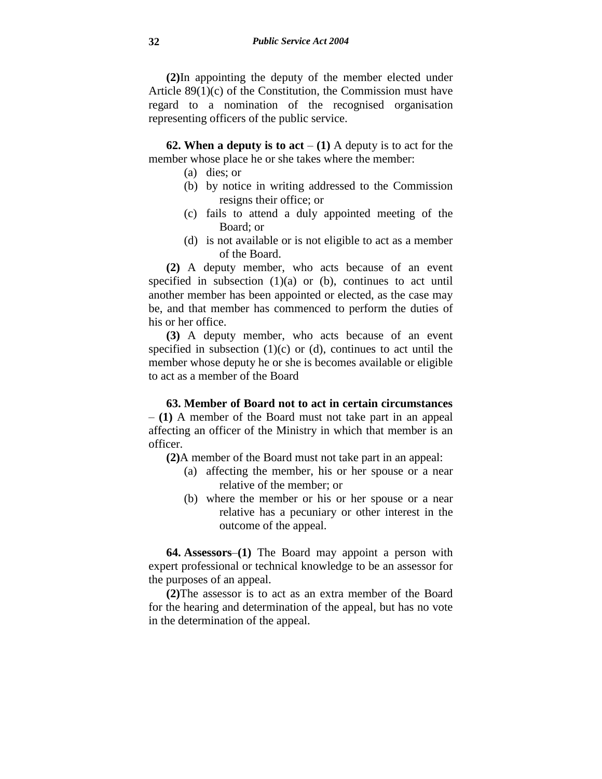**(2)**In appointing the deputy of the member elected under Article 89(1)(c) of the Constitution, the Commission must have regard to a nomination of the recognised organisation representing officers of the public service.

**62. When a deputy is to act**  $- (1)$  A deputy is to act for the member whose place he or she takes where the member:

- (a) dies; or
- (b) by notice in writing addressed to the Commission resigns their office; or
- (c) fails to attend a duly appointed meeting of the Board; or
- (d) is not available or is not eligible to act as a member of the Board.

**(2)** A deputy member, who acts because of an event specified in subsection  $(1)(a)$  or  $(b)$ , continues to act until another member has been appointed or elected, as the case may be, and that member has commenced to perform the duties of his or her office.

**(3)** A deputy member, who acts because of an event specified in subsection  $(1)(c)$  or  $(d)$ , continues to act until the member whose deputy he or she is becomes available or eligible to act as a member of the Board

**63. Member of Board not to act in certain circumstances** – **(1)** A member of the Board must not take part in an appeal affecting an officer of the Ministry in which that member is an officer.

**(2)**A member of the Board must not take part in an appeal:

- (a) affecting the member, his or her spouse or a near relative of the member; or
- (b) where the member or his or her spouse or a near relative has a pecuniary or other interest in the outcome of the appeal.

**64. Assessors**–**(1)** The Board may appoint a person with expert professional or technical knowledge to be an assessor for the purposes of an appeal.

**(2)**The assessor is to act as an extra member of the Board for the hearing and determination of the appeal, but has no vote in the determination of the appeal.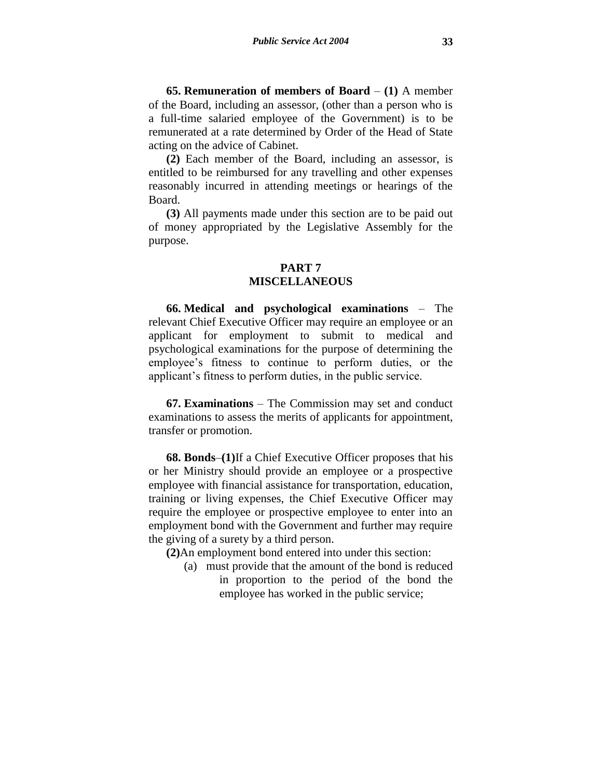**65. Remuneration of members of Board** – **(1)** A member of the Board, including an assessor, (other than a person who is a full-time salaried employee of the Government) is to be remunerated at a rate determined by Order of the Head of State acting on the advice of Cabinet.

**(2)** Each member of the Board, including an assessor, is entitled to be reimbursed for any travelling and other expenses reasonably incurred in attending meetings or hearings of the Board.

**(3)** All payments made under this section are to be paid out of money appropriated by the Legislative Assembly for the purpose.

## **PART 7**

# **MISCELLANEOUS**

**66. Medical and psychological examinations** – The relevant Chief Executive Officer may require an employee or an applicant for employment to submit to medical and psychological examinations for the purpose of determining the employee's fitness to continue to perform duties, or the applicant's fitness to perform duties, in the public service.

**67. Examinations** – The Commission may set and conduct examinations to assess the merits of applicants for appointment, transfer or promotion.

**68. Bonds**–**(1)**If a Chief Executive Officer proposes that his or her Ministry should provide an employee or a prospective employee with financial assistance for transportation, education, training or living expenses, the Chief Executive Officer may require the employee or prospective employee to enter into an employment bond with the Government and further may require the giving of a surety by a third person.

**(2)**An employment bond entered into under this section:

(a) must provide that the amount of the bond is reduced in proportion to the period of the bond the employee has worked in the public service;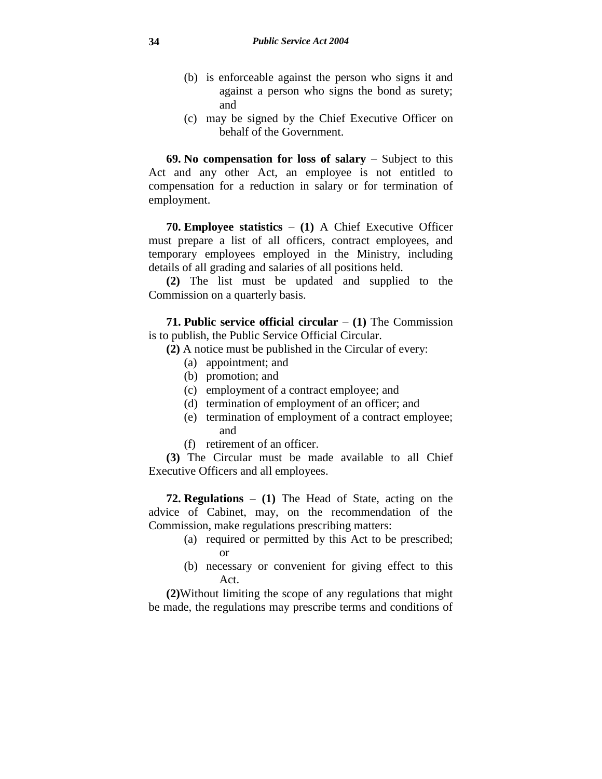- (b) is enforceable against the person who signs it and against a person who signs the bond as surety; and
- (c) may be signed by the Chief Executive Officer on behalf of the Government.

**69. No compensation for loss of salary** – Subject to this Act and any other Act, an employee is not entitled to compensation for a reduction in salary or for termination of employment.

**70. Employee statistics** – **(1)** A Chief Executive Officer must prepare a list of all officers, contract employees, and temporary employees employed in the Ministry, including details of all grading and salaries of all positions held.

**(2)** The list must be updated and supplied to the Commission on a quarterly basis.

**71. Public service official circular** – **(1)** The Commission is to publish, the Public Service Official Circular.

**(2)** A notice must be published in the Circular of every:

- (a) appointment; and
- (b) promotion; and
- (c) employment of a contract employee; and
- (d) termination of employment of an officer; and
- (e) termination of employment of a contract employee; and
- (f) retirement of an officer.

**(3)** The Circular must be made available to all Chief Executive Officers and all employees.

**72. Regulations** – **(1)** The Head of State, acting on the advice of Cabinet, may, on the recommendation of the Commission, make regulations prescribing matters:

- (a) required or permitted by this Act to be prescribed; or
- (b) necessary or convenient for giving effect to this Act.

**(2)**Without limiting the scope of any regulations that might be made, the regulations may prescribe terms and conditions of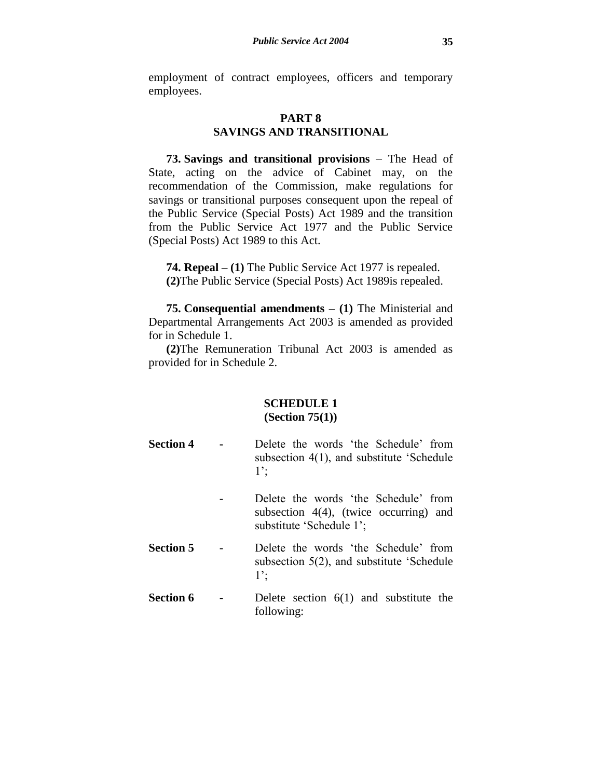employment of contract employees, officers and temporary employees.

# **PART 8 SAVINGS AND TRANSITIONAL**

**73. Savings and transitional provisions** – The Head of State, acting on the advice of Cabinet may, on the recommendation of the Commission, make regulations for savings or transitional purposes consequent upon the repeal of the Public Service (Special Posts) Act 1989 and the transition from the Public Service Act 1977 and the Public Service (Special Posts) Act 1989 to this Act.

**74. Repeal – (1)** The Public Service Act 1977 is repealed. **(2)**The Public Service (Special Posts) Act 1989is repealed.

**75. Consequential amendments – (1)** The Ministerial and Departmental Arrangements Act 2003 is amended as provided for in Schedule 1.

**(2)**The Remuneration Tribunal Act 2003 is amended as provided for in Schedule 2.

# **SCHEDULE 1 (Section 75(1))**

- **Section 4 -** Delete the words 'the Schedule' from subsection 4(1), and substitute 'Schedule 1';
	- Delete the words 'the Schedule' from subsection  $4(4)$ , (twice occurring) and substitute 'Schedule 1';
- **Section 5** Delete the words 'the Schedule' from subsection 5(2), and substitute 'Schedule 1';
- **Section 6** Delete section 6(1) and substitute the following: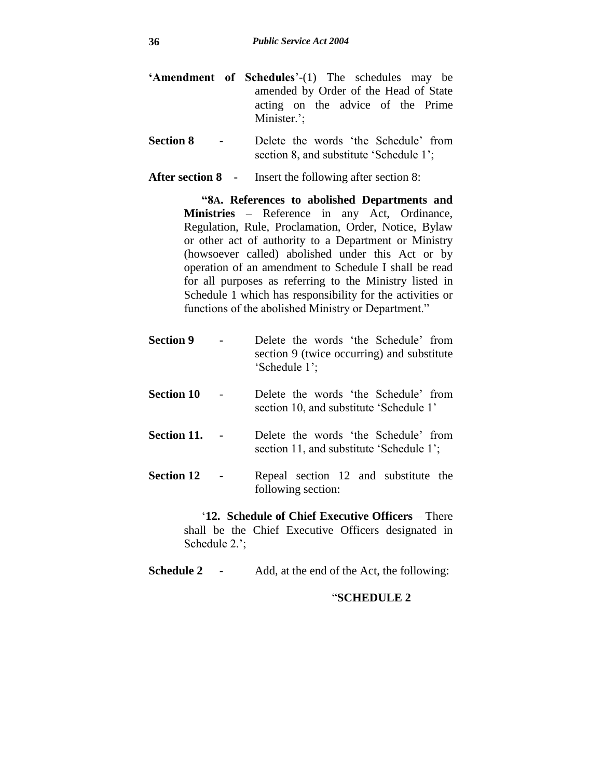- **'Amendment of Schedules**'-(1) The schedules may be amended by Order of the Head of State acting on the advice of the Prime Minister.';
- **Section 8 -** Delete the words 'the Schedule' from section 8, and substitute 'Schedule 1';

**After section 8 -** Insert the following after section 8:

**"8A. References to abolished Departments and Ministries** – Reference in any Act, Ordinance, Regulation, Rule, Proclamation, Order, Notice, Bylaw or other act of authority to a Department or Ministry (howsoever called) abolished under this Act or by operation of an amendment to Schedule I shall be read for all purposes as referring to the Ministry listed in Schedule 1 which has responsibility for the activities or functions of the abolished Ministry or Department."

| <b>Section 9</b>  | Delete the words 'the Schedule' from<br>section 9 (twice occurring) and substitute<br>'Schedule 1'; |
|-------------------|-----------------------------------------------------------------------------------------------------|
| <b>Section 10</b> | Delete the words 'the Schedule' from<br>section 10, and substitute 'Schedule 1'                     |
| Section 11.       | Delete the words 'the Schedule' from<br>section 11, and substitute 'Schedule 1';                    |
| <b>Section 12</b> | Repeal section 12 and substitute the<br>following section:                                          |

'**12. Schedule of Chief Executive Officers** – There shall be the Chief Executive Officers designated in Schedule 2.';

**Schedule 2 -** Add, at the end of the Act, the following:

# "**SCHEDULE 2**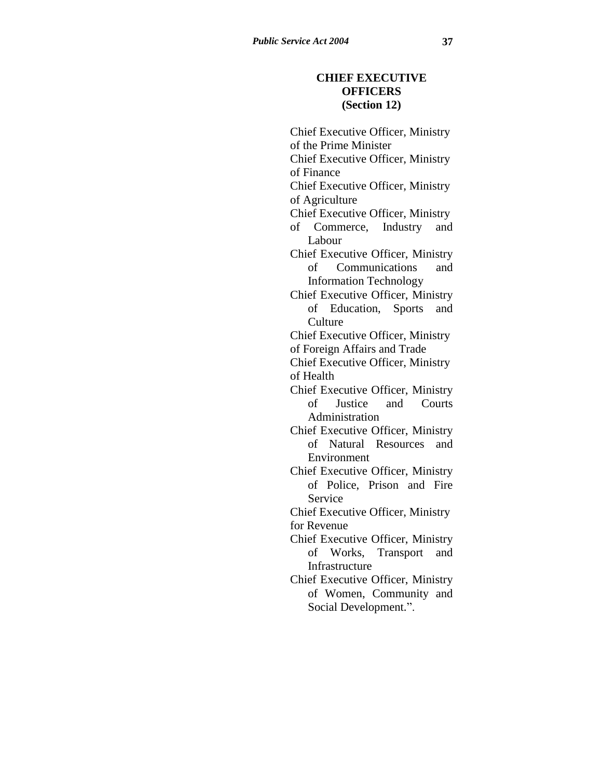# **CHIEF EXECUTIVE OFFICERS (Section 12)**

Chief Executive Officer, Ministry of the Prime Minister Chief Executive Officer, Ministry of Finance Chief Executive Officer, Ministry of Agriculture Chief Executive Officer, Ministry of Commerce, Industry and Labour Chief Executive Officer, Ministry of Communications and Information Technology Chief Executive Officer, Ministry of Education, Sports and **Culture** Chief Executive Officer, Ministry of Foreign Affairs and Trade Chief Executive Officer, Ministry of Health Chief Executive Officer, Ministry of Justice and Courts Administration Chief Executive Officer, Ministry of Natural Resources and Environment Chief Executive Officer, Ministry of Police, Prison and Fire Service Chief Executive Officer, Ministry for Revenue Chief Executive Officer, Ministry of Works, Transport and Infrastructure Chief Executive Officer, Ministry of Women, Community and Social Development.".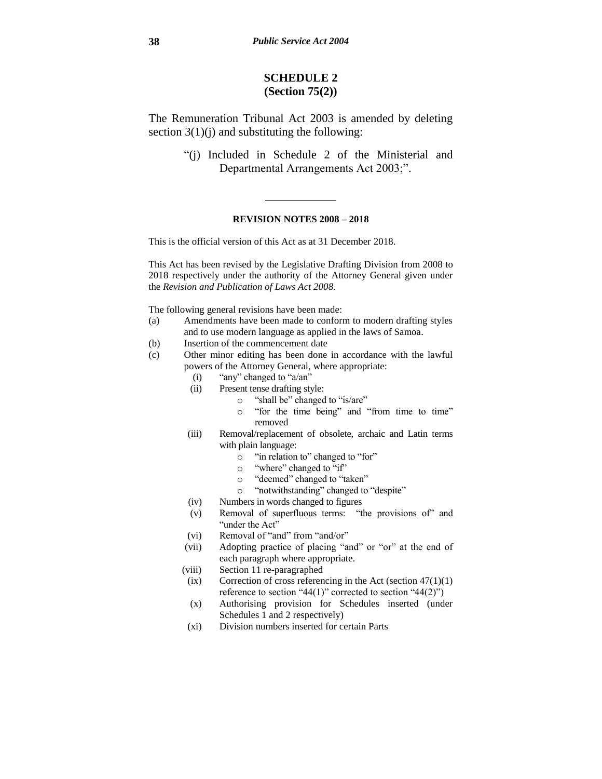# **SCHEDULE 2 (Section 75(2))**

The Remuneration Tribunal Act 2003 is amended by deleting section  $3(1)(j)$  and substituting the following:

> "(j) Included in Schedule 2 of the Ministerial and Departmental Arrangements Act 2003;".

#### **REVISION NOTES 2008 – 2018**

This is the official version of this Act as at 31 December 2018.

This Act has been revised by the Legislative Drafting Division from 2008 to 2018 respectively under the authority of the Attorney General given under the *Revision and Publication of Laws Act 2008.*

The following general revisions have been made:

- (a) Amendments have been made to conform to modern drafting styles and to use modern language as applied in the laws of Samoa.
- (b) Insertion of the commencement date
- (c) Other minor editing has been done in accordance with the lawful powers of the Attorney General, where appropriate:
	- (i) "any" changed to "a/an"
	- (ii) Present tense drafting style:
		- o "shall be" changed to "is/are"
		- o "for the time being" and "from time to time" removed
	- (iii) Removal/replacement of obsolete, archaic and Latin terms with plain language:
		- o "in relation to" changed to "for"
		- o "where" changed to "if"
		- o "deemed" changed to "taken"
		- o "notwithstanding" changed to "despite"
	- (iv) Numbers in words changed to figures
	- (v) Removal of superfluous terms: "the provisions of" and "under the Act"
	- (vi) Removal of "and" from "and/or"
	- (vii) Adopting practice of placing "and" or "or" at the end of each paragraph where appropriate.
	- (viii) Section 11 re-paragraphed
	- (ix) Correction of cross referencing in the Act (section  $47(1)(1)$ ) reference to section "44(1)" corrected to section "44(2)")
	- (x) Authorising provision for Schedules inserted (under Schedules 1 and 2 respectively)
	- (xi) Division numbers inserted for certain Parts